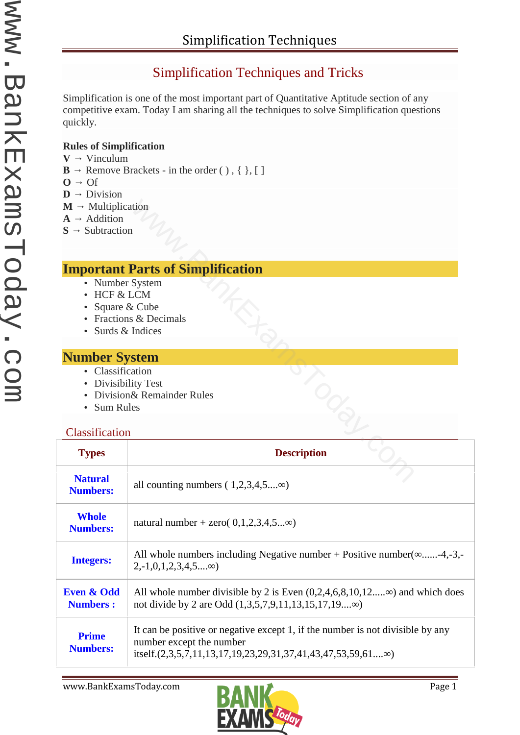# Simplification Techniques and Tricks

Simplification is one of the most important part of Quantitative Aptitude section of any competitive exam. Today I am sharing all the techniques to solve Simplification questions quickly.

#### **Rules of Simplification**

- **V** Vinculum
- **B** Remove Brackets in the order  $( )$ ,  $\{ \}$ ,  $[ ]$
- **O** Of
- **D** Division
- **M** Multiplication
- **A** Addition
- **S** Subtraction

# **Important Parts of Simplification**

- Number System
- HCF & LCM
- Square & Cube
- Fractions & Decimals
- Surds & Indices

#### **Number System**

- Classification
- Divisibility Test
- Division& Remainder Rules
- Sum Rules

#### Classification

| $\mathbf M$<br>Addition<br>$\mathbf A$   | Multiplication                                                                                                                    |
|------------------------------------------|-----------------------------------------------------------------------------------------------------------------------------------|
| S<br>Subtraction                         |                                                                                                                                   |
|                                          |                                                                                                                                   |
|                                          | <b>Important Parts of Simplification</b>                                                                                          |
| • Number System<br><b>HCF &amp; LCM</b>  | Square & Cube<br>Fractions & Decimals<br>Surds & Indices                                                                          |
| <b>Number System</b>                     |                                                                                                                                   |
| • Classification                         |                                                                                                                                   |
|                                          | Divisibility Test<br>Division& Remainder Rules                                                                                    |
| <b>Sum Rules</b>                         |                                                                                                                                   |
|                                          |                                                                                                                                   |
| Classification                           |                                                                                                                                   |
| <b>Types</b>                             | <b>Description</b>                                                                                                                |
| <b>Natural</b><br><b>Numbers:</b>        | all counting numbers $(1,2,3,4,5,)$                                                                                               |
| <b>Whole</b><br><b>Numbers:</b>          | natural number + zero $(0,1,2,3,4,5)$                                                                                             |
| <b>Integers:</b>                         | All whole numbers including Negative number + Positive number $($ -4,-3,-<br>$2,-1,0,1,2,3,4,5$                                   |
| <b>Even &amp; Odd</b><br><b>Numbers:</b> | All whole number divisible by 2 is Even $(0,2,4,6,8,10,12,)$ and which does<br>not divide by 2 are Odd (1,3,5,7,9,11,13,15,17,19) |

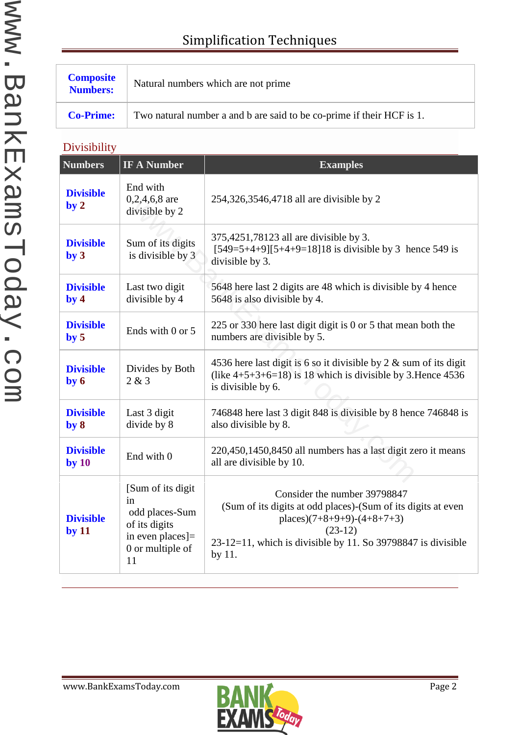# www.BankExamsToday.com www.BankExamsToday.com

# Simplification Techniques

| <b>Composite</b><br>Numbers: | Natural numbers which are not prime                                   |
|------------------------------|-----------------------------------------------------------------------|
| <b>Co-Prime:</b>             | Two natural number a and b are said to be co-prime if their HCF is 1. |

# Divisibility

| <b>Numbers</b>                       | <b>IF A Number</b>                                                                                       | <b>Examples</b>                                                                                                                                                                                                      |
|--------------------------------------|----------------------------------------------------------------------------------------------------------|----------------------------------------------------------------------------------------------------------------------------------------------------------------------------------------------------------------------|
| <b>Divisible</b><br>by <sub>2</sub>  | End with<br>$0,2,4,6,8$ are<br>divisible by 2                                                            | 254, 326, 3546, 4718 all are divisible by 2                                                                                                                                                                          |
| <b>Divisible</b><br>by <sub>3</sub>  | Sum of its digits<br>is divisible by 3                                                                   | 375,4251,78123 all are divisible by 3.<br>$[549=5+4+9][5+4+9=18]18$ is divisible by 3 hence 549 is<br>divisible by 3.                                                                                                |
| <b>Divisible</b><br>by <sub>4</sub>  | Last two digit<br>divisible by 4                                                                         | 5648 here last 2 digits are 48 which is divisible by 4 hence<br>5648 is also divisible by 4.                                                                                                                         |
| <b>Divisible</b><br>by <sub>5</sub>  | Ends with 0 or 5                                                                                         | 225 or 330 here last digit digit is 0 or 5 that mean both the<br>numbers are divisible by 5.                                                                                                                         |
| <b>Divisible</b><br>by <sub>6</sub>  | Divides by Both<br>2 & 3                                                                                 | 4536 here last digit is 6 so it divisible by 2 $\&$ sum of its digit<br>(like $4+5+3+6=18$ ) is 18 which is divisible by 3. Hence $4536$<br>is divisible by 6.                                                       |
| <b>Divisible</b><br>by <sub>8</sub>  | Last 3 digit<br>divide by 8                                                                              | 746848 here last 3 digit 848 is divisible by 8 hence 746848 is<br>also divisible by 8.                                                                                                                               |
| <b>Divisible</b><br>by <sub>10</sub> | End with 0                                                                                               | 220,450,1450,8450 all numbers has a last digit zero it means<br>all are divisible by 10.                                                                                                                             |
| <b>Divisible</b><br>by <sub>11</sub> | [Sum of its digit<br>in<br>odd places-Sum<br>of its digits<br>in even places]=<br>0 or multiple of<br>11 | Consider the number 39798847<br>(Sum of its digits at odd places)-(Sum of its digits at even<br>places) $(7+8+9+9)-(4+8+7+3)$<br>$(23-12)$<br>23-12=11, which is divisible by 11. So 39798847 is divisible<br>by 11. |

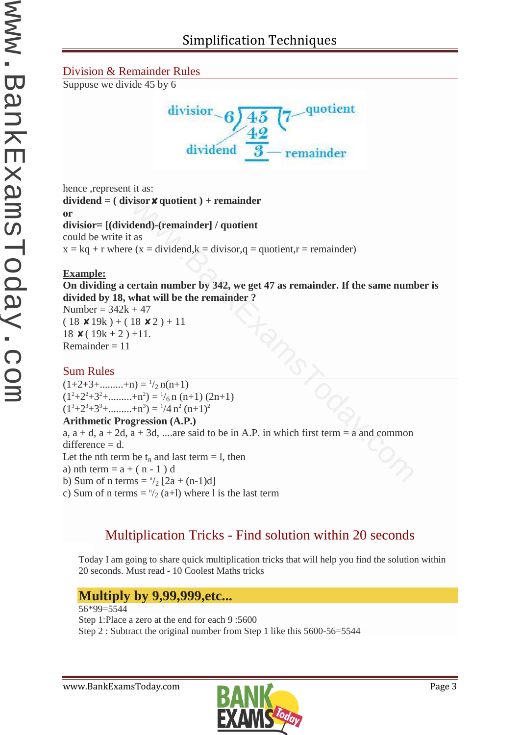#### Division & Remainder Rules

Suppose we divide 45 by 6



hence, represent it as: **dividend = ( divisor✘quotient ) + remainder ✘ or divisior= [(dividend)-(remainder] / quotient / quotient** could be write it as could be write it as<br> $x = kq + r$  where  $(x = \text{dividend}, k = \text{divisor}, q = \text{quotient}, r = \text{remainder})$ 

#### **Example:**

**On dividing a certain number by 342, we get 47 as remainder. If the same number is 47 as divided by 18, what will be the remainder ?**

Number =  $342k + 47$  $(18 \times 19k) + (18 \times 2) + 11$ 18  $\times$  (19k + 2) +11. Remainder  $= 11$ 

#### Sum Rules

 $(1+2+3+\ldots+ n) = \frac{1}{2} n(n+1)$  $(1^2+2^2+3^2+\ldots+1^2) = \frac{1}{6}n (n+1) (2n+1)$  $(1^3+2^3+3^3+\ldots+ n^3) = \frac{1}{4} n^2 (n+1)^2$ 

#### **Arithmetic Progression (A.P.) (A.P.)**

a,  $a + d$ ,  $a + 2d$ ,  $a + 3d$ , ....are said to be in A.P. in which first term = a and common  $difference = d$ . Let the nth term be  $t_n$  and last term = l, then a) nth term  $= a + (n - 1) d$ a,  $a + d$ ,  $a + 2d$ ,  $a + 3d$ , .... are said to be in A.P.<br>difference = d.<br>Let the nth term be  $t_n$  and last term = l, then<br>a) nth term =  $a + (n - 1) d$ visor **x** quotient ) + remainder<br>
dend)-(remainder] / quotient<br>
as<br>  $x \propto x$  dividend,  $k = \text{divisor}, q = \text{quotient}, r = \text{remainder}$ <br>
ertain number by 342, we get 47 as remainder. If the same num<br>
what will be the remainder ?<br>  $+ 47$ <br>  $+ 47$ <br>

b) Sum of n terms =  $\frac{n}{2}$  [2a + (n-1)d] c) Sum of n terms =  $\frac{n}{2}$  (a+l) where l is the last term

# Multiplication Tricks - Find solution within 20 seconds

Today I am going to share quick multiplication tricks that will help you find the solution within 20 seconds. Must read - 10 Coolest Maths tricks

# **Multiply by 9,99,999,etc... Multiply by**

56\*99=5544

Step 1:Place a zero at the end for each 9 :5600

Step 2 : Subtract the original number from Step 1 like this 5600-56=5544

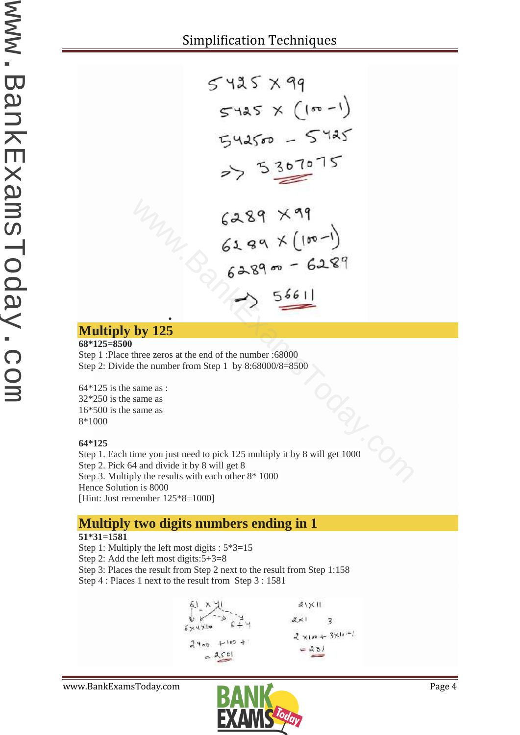$5425 \times 99$  $5425 \times (100 - 1)$  $54250 - 5425$  $37230223$ 6289  $\times$  9<br>
(3.  $\times$  9  $\times$  (1m<sup>-1</sup>)<br>
(6.  $\times$  9  $\times$  (1m<sup>-1</sup>)<br>
(6.  $\times$  9  $\times$  6. 19<br>
(by 125<br>
three zeros at the end of the number :68000<br>
(e the number from Step 1 by 8:68000/8=8500<br>
same as :<br>
same as :<br>
same as :<br>
s

#### $\bullet$  . The set of  $\bullet$ **Multiply by 125**

**68\*125=8500** Step 1 :Place three zeros at the end of the number :68000

Step 2: Divide the number from Step 1 by 8:68000/8=8500

64\*125 is the same as : 32\*250 is the same as 16\*500 is the same as 8\*1000

#### **64\*125**

www.BankExamsToday.com

www.BankExamsToday.com

Step 1. Each time you just need to pick 125 multiply it by 8 will get 1000 Step 2. Pick 64 and divide it by 8 will get 8 Step 3. Multiply the results with each other 8\* 1000 Hence Solution is 8000 [Hint: Just remember 125\*8=1000]

# **Multiply two digits numbers ending in 1**

#### **51\*31=1581**

Step 1: Multiply the left most digits : 5\*3=15

- Step 2: Add the left most digits:5+3=8
- Step 3: Places the result from Step 2 next to the result from Step 1:158 Step 4 : Places 1 next to the result from Step 3 : 1581



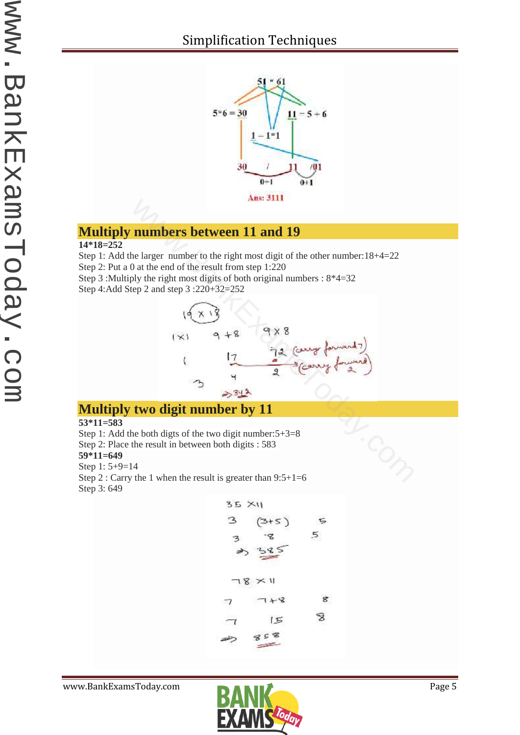

#### **Multiply numbers between 11 and 19 14\*18=252**

Step 1: Add the larger number to the right most digit of the other number:18+4=22 Step 2: Put a 0 at the end of the result from step 1:220 Step 3 :Multiply the right most digits of both original numbers : 8\*4=32 Step 4:Add Step 2 and step 3 :220+32=252



#### **Multiply two digit number by 11**

#### **53\*11=583**

Step 1: Add the both digts of the two digit number:  $5+3=8$ Step 2: Place the result in between both digits : 583 **59\*11=649** Step 1: 5+9=14 Step 2 : Carry the 1 when the result is greater than  $9:5+1=6$ 

Step 3: 649



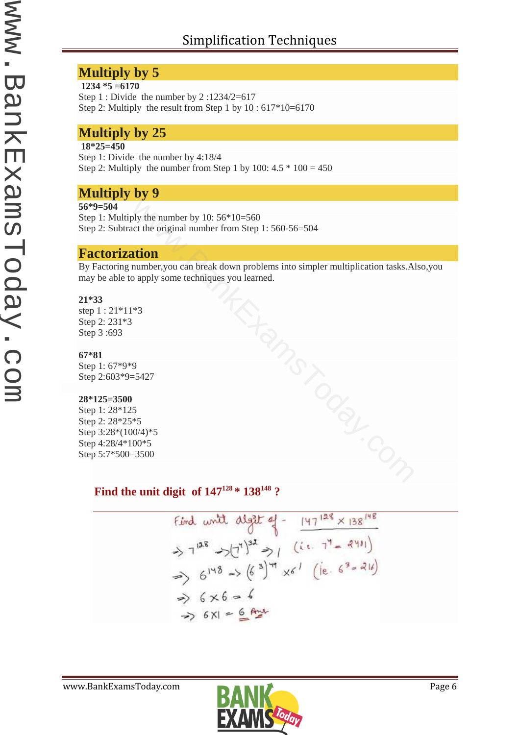# **Multiply by 5**

**1234 \*5 =6170** Step 1 : Divide the number by 2 :1234/2=617 Step 2: Multiply the result from Step 1 by 10 : 617\*10=6170

# **Multiply by 25**

#### **18\*25=450**

Step 1: Divide the number by 4:18/4 Step 2: Multiply the number from Step 1 by 100:  $4.5 * 100 = 450$ 

# **Multiply by 9**

#### **56\*9=504**

Step 1: Multiply the number by 10: 56\*10=560 Step 2: Subtract the original number from Step 1: 560-56=504

#### **Factorization**

By Factoring number,you can break down problems into simpler multiplication tasks.Also,you may be able to apply some techniques you learned. by the number by 10: 56\*10=560<br>
act the original number from Step 1: 560-56=504<br>
act the original number from Step 1: 560-56=504<br>
action<br>
number, you can break down problems into simpler multiplication tasks.<br>A<br>  $\begin{bmatrix} *3$ 

#### **21\*33**

step 1 : 21\*11\*3 Step 2: 231\*3 Step 3 :693

#### **67\*81**

Step 1: 67\*9\*9 Step 2:603\*9=5427

#### **28\*125=3500**

Step 1: 28\*125 Step 2: 28\*25\*5 Step 3:28\*(100/4)\*5 Step 4:28/4\*100\*5 Step 5:7\*500=3500

Find until digit of -  
\n
$$
148 \times 138^{148}
$$
  
\n $\rightarrow 1^{128} \rightarrow [7^{1})^{32} \rightarrow 1$  (i. 7<sup>1</sup> = 9491)  
\n $\rightarrow 6^{148} \rightarrow (6^{3})^{47} \times 6^{1}$  (ie. 6<sup>3</sup> = 216)  
\n $\rightarrow 6 \times 6 = 6$   
\n $\rightarrow 6 \times 1 = 6$ 

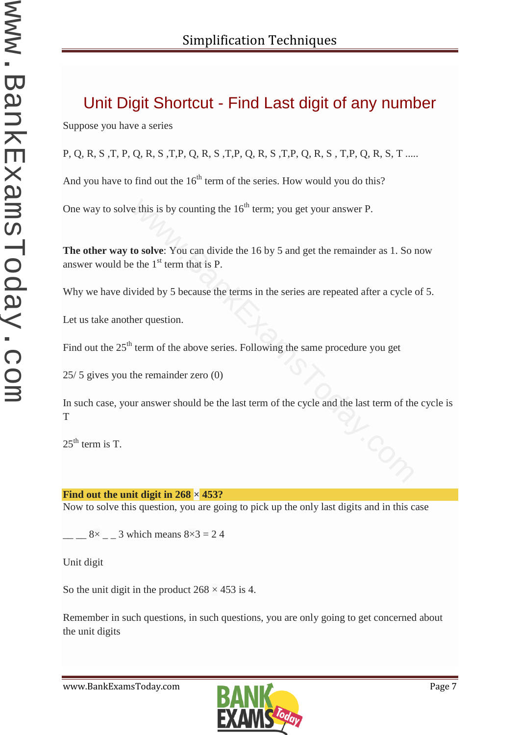# Unit Digit Shortcut - Find Last digit of any number

Suppose you have a series

P, Q, R, S ,T, P, Q, R, S ,T,P, Q, R, S ,T,P, Q, R, S ,T,P, Q, R, S , T,P, Q, R, S, T .....

And you have to find out the  $16<sup>th</sup>$  term of the series. How would you do this?

One way to solve this is by counting the  $16<sup>th</sup>$  term; you get your answer P.

**The other way to solve**: You can divide the 16 by 5 and get the remainder as 1. So now answer would be the  $1<sup>st</sup>$  term that is P. e this is by counting the 16<sup>th</sup> term; you get your answer P.<br> **to solve:** You can divide the 16 by 5 and get the remainder as 1. So is the 1<sup>st</sup> term that is P.<br>
vided by 5 because the terms in the series are repeated af

Why we have divided by 5 because the terms in the series are repeated after a cycle of 5.

Let us take another question.

Find out the 25<sup>th</sup> term of the above series. Following the same procedure you get

25/ 5 gives you the remainder zero (0)

In such case, your answer should be the last term of the cycle and the last term of the cycle is T

 $25<sup>th</sup>$  term is T.

#### **Find out the unit digit in**  $268 \times 453$ **?**

Now to solve this question, you are going to pick up the only last digits and in this case

 $\frac{1}{2}$   $8 \times 2 = 3$  which means  $8 \times 3 = 24$ 

Unit digit

So the unit digit in the product  $268 \times 453$  is 4.

Remember in such questions, in such questions, you are only going to get concerned about the unit digits

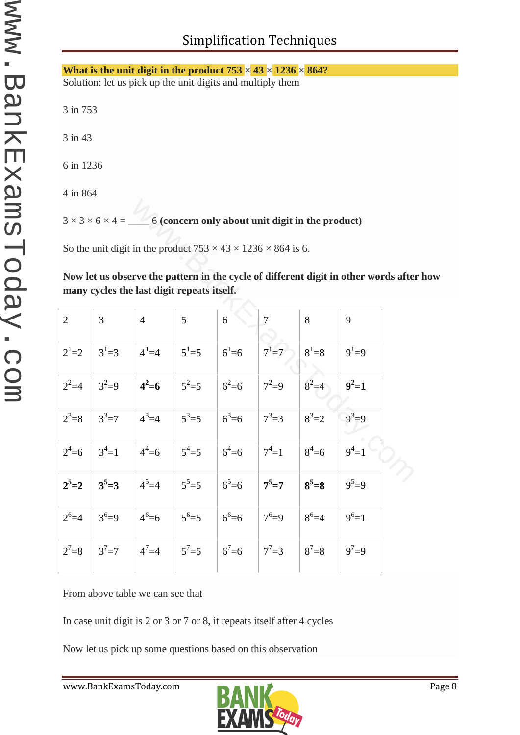

From above table we can see that

In case unit digit is 2 or 3 or 7 or 8, it repeats itself after 4 cycles

Now let us pick up some questions based on this observation

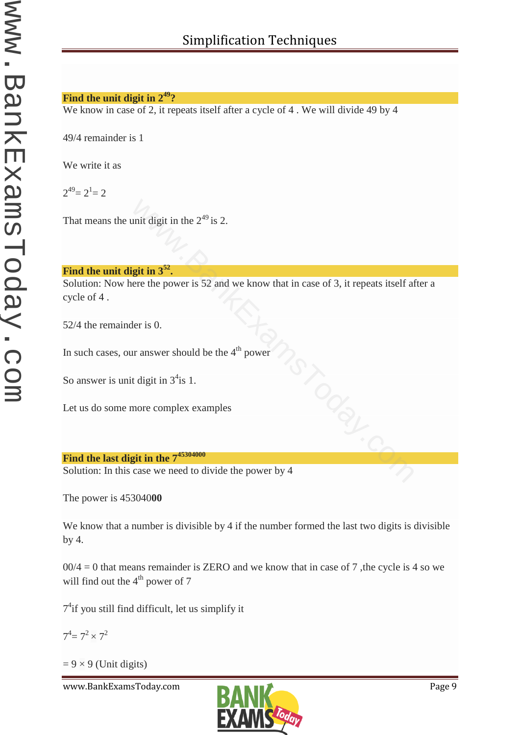#### **Find the unit digit in 2<sup>49</sup>?**

We know in case of 2, it repeats itself after a cycle of 4. We will divide 49 by 4

49/4 remainder is 1

We write it as

 $2^{49} = 2^1 = 2$ 

That means the unit digit in the  $2^{49}$  is 2.

#### **Find the unit digit in 3<sup>52</sup> .**

Solution: Now here the power is 52 and we know that in case of 3, it repeats itself after a cycle of 4 . unit digit in the 2<sup>49</sup> is 2.<br>
igit in 3<sup>52</sup>.<br>
igit in 3<sup>52</sup>.<br>
der is 0.<br>
ur answer should be the 4<sup>th</sup> power<br>
it digit in 3<sup>4</sup> is 1.<br>
more complex examples<br>
git in the 7<sup>45304000</sup><br>
case we need to divide the power by 4

52/4 the remainder is 0.

In such cases, our answer should be the  $4<sup>th</sup>$  power

So answer is unit digit in  $3<sup>4</sup>$  is 1.

Let us do some more complex examples

#### **Find the last digit in the 7<sup>45304000</sup>**

Solution: In this case we need to divide the power by 4

The power is 453040**00**

We know that a number is divisible by 4 if the number formed the last two digits is divisible by 4.

 $00/4 = 0$  that means remainder is ZERO and we know that in case of 7, the cycle is 4 so we will find out the  $4<sup>th</sup>$  power of 7

7 4 if you still find difficult, let us simplify it

 $7^4$  =  $7^2 \times 7^2$ 

 $= 9 \times 9$  (Unit digits)

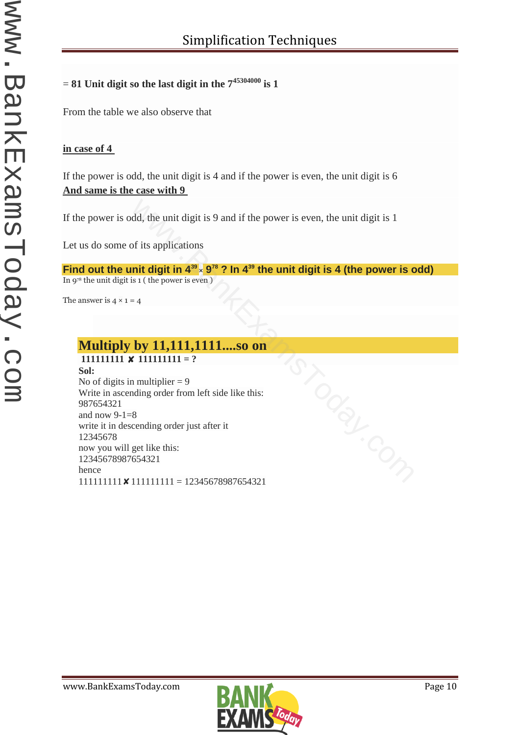#### $= 81$  Unit digit so the last digit in the  $7^{45304000}$  is 1

From the table we also observe that

#### **in case of 4**

If the power is odd, the unit digit is 4 and if the power is even, the unit digit is 6 **And same is the case with 9**

If the power is odd, the unit digit is 9 and if the power is even, the unit digit is 1

Let us do some of its applications

**Find out the unit digit in 4<sup>39</sup>**  $\times$  **9<sup>78</sup> ? In 4<sup>39</sup> the unit digit is 4 (the power is odd)** In 9<sup>78</sup> the unit digit is 1 ( the power is even )

The answer is  $4 \times 1 = 4$ 

# **Multiply by 11,111,1111....so on**

#### **111111111 ✘ 111111111 = ? Sol:** No of digits in multiplier  $= 9$

Write in ascending order from left side like this: 987654321 and now 9-1=8 write it in descending order just after it 12345678 now you will get like this: 12345678987654321 hence  $111111111 \times 111111111 = 12345678987654321$ 

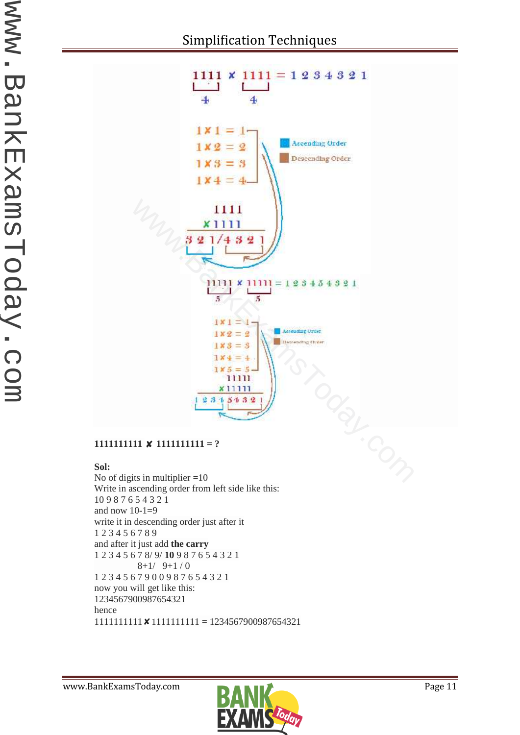



#### **1111111111 ✘ 1111111111 = ?**

#### **Sol: Sol:**

No of digits in multiplier  $=10$ Write in ascending order from left side like this: 10 9 8 7 6 5 4 3 2 1 and now  $10-1=9$ write it in descending order just after it 1 2 3 4 5 6 7 8 9 and after it just add **the carry** 1 2 3 4 5 6 7 8/ 9/ **10** 9 8 7 6 5 4 3 2 1  $8+1/9+1/0$ 1 2 3 4 5 6 7 9 0 0 9 8 7 6 5 4 3 2 1 now you will get like this: 1234567900987654321 hence  $1111111111 \times 1111111111 = 1234567900987654321$ Write in ascending order from left side<br>10987654321<br>and now 10-1=9<br>write it in descending order just after it<br>123456789<br>and after it just add **the carry** 

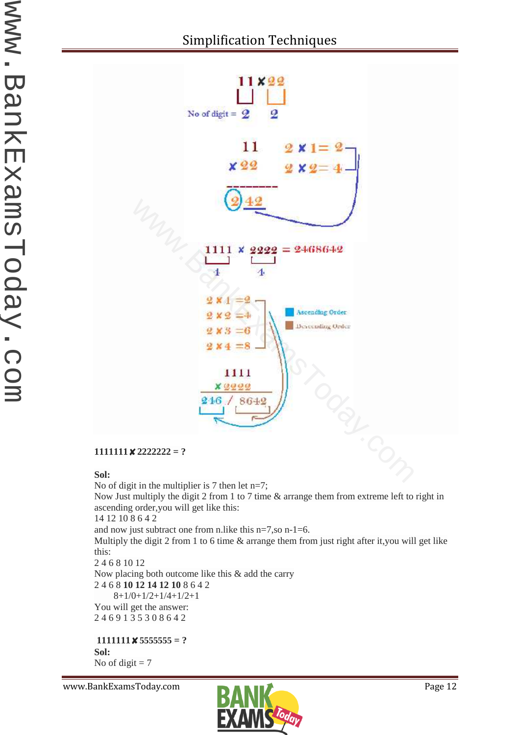

#### **1111111✘2222222 = ?**

#### **Sol:**

No of digit in the multiplier is 7 then let n=7; Now Just multiply the digit 2 from 1 to 7 time & arrange them from extreme left to right in ascending order,you will get like this: 14 12 10 8 6 4 2 and now just subtract one from n.like this n=7,so n-1=6. Multiply the digit 2 from 1 to 6 time & arrange them from just right after it,you will get like this: 2 4 6 8 10 12 Now placing both outcome like this & add the carry 2 4 6 8 **10 12 14 12 10** 8 6 4 2  $8+1/0+1/2+1/4+1/2+1$ You will get the answer: 2 4 6 9 1 3 5 3 0 8 6 4 2

#### **1111111✘5555555 = ? Sol:** No of digit  $= 7$

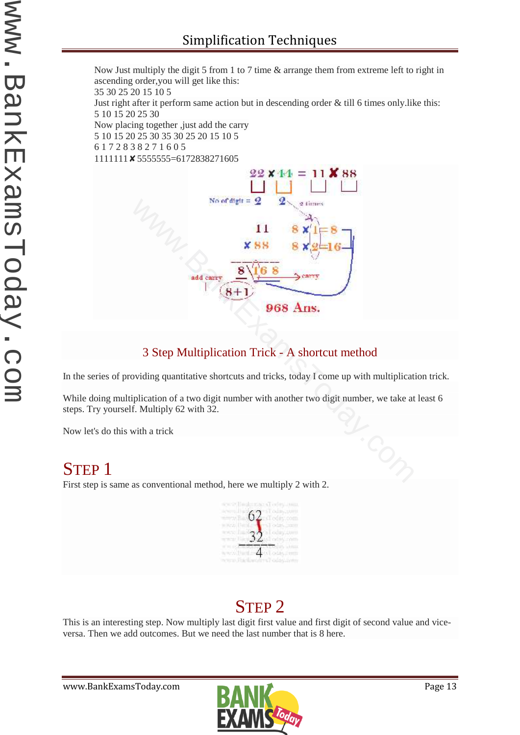Now Just multiply the digit 5 from 1 to 7 time & arrange them from extreme left to right in ascending order,you will get like this: 35 30 25 20 15 10 5 Just right after it perform same action but in descending order & till 6 times only.like this: 5 10 15 20 25 30 Now placing together ,just add the carry 5 10 15 20 25 30 35 30 25 20 15 10 5 6 1 7 2 8 3 8 2 7 1 6 0 5

1111111 **×** 5555555=6172838271605



# 3 Step Multiplication Trick - A shortcut method

In the series of providing quantitative shortcuts and tricks, today I come up with multiplication trick.

While doing multiplication of a two digit number with another two digit number, we take at least 6 steps. Try yourself. Multiply 62 with 32.

Now let's do this with a trick

# STEP 1

First step is same as conventional method, here we multiply 2 with 2.

| with bankers are all | <b>COMB.</b>  |
|----------------------|---------------|
|                      | <b>COULD:</b> |
| E.<br>$\mathbf{U}$   | v.com         |
| ìш<br>W2J.           | $\Box$ $\Box$ |
|                      | 2001          |
| car Him              | $=$ $600$     |
|                      | $-1/111$      |
| voltimi              | FTT:          |
| <b>Starlie</b>       | m             |

# STEP 2

This is an interesting step. Now multiply last digit first value and first digit of second value and vice versa. Then we add outcomes. But we need the last number that is 8 here.

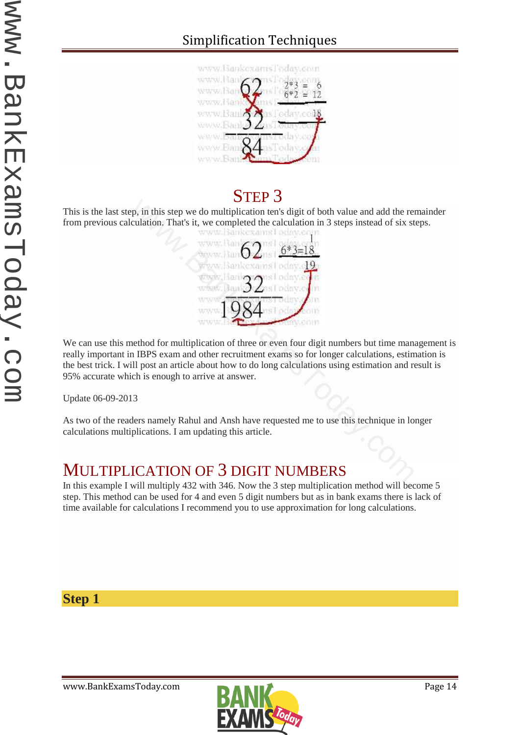

# STEP 3

This is the last step, in this step we do multiplication ten's digit of both value and add the remainder from previous calculation. That's it, we completed the calculation in 3 steps instead of six steps.



We can use this method for multiplication of three or even four digit numbers but time management is really important in IBPS exam and other recruitment exams so for longer calculations, estimation is the best trick. I will post an article about how to do long calculations using estimation and result is 95% accurate which is enough to arrive at answer. From this step we do multiplication ten's digit of both value and add the reculation. That's it, we completed the calculation in 3 steps instead of six st<br>
culation. That's it, we completed the calculation in 3 steps inst

Update 06-09-2013

As two of the readers namely Rahul and Ansh have requested me to use this technique in longer calculations multiplications. I am updating this article.

# MULTIPLICATION OF 3 DIGIT NUMBERS

In this example I will multiply 432 with 346. Now the 3 step multiplication method will become 5 step. This method can be used for 4 and even 5 digit numbers but as in bank exams there is lack of time available for calculations I recommend you to use approximation for long calculations.

# **Step 1**

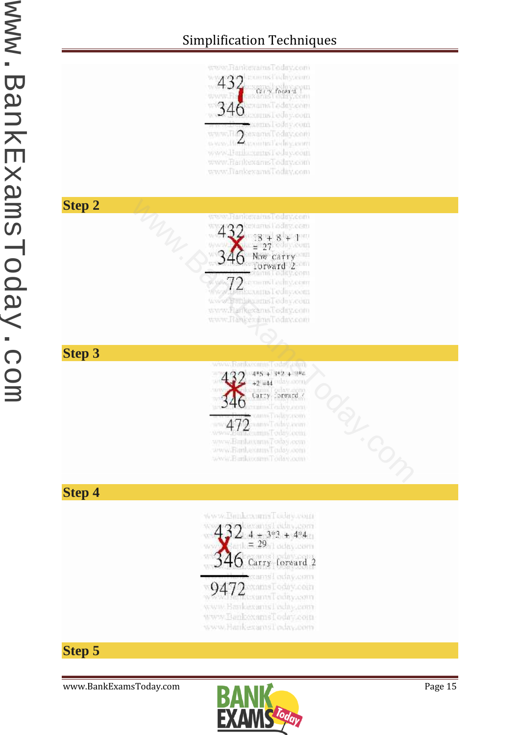www.BankeyamsTodey.com mining l'in Invienno Grey forant **SCONTO** sumaTedev.com 340 xums1edex.com xemslests.com www.flaxamaTeday.com www.Fariketentelle.lay.com www.FlankexarnsToday.com www.FrankexamsToday.com

**Step 2** 



# **Step 3**



# **Step 4**

www.BankcommeToday.com antsil eday com  $4 + 393 + 494$  $= 29$  and order comm

 $\cdot$  Carry forward 2 sanyil oday.com 9472 cxamsToday.com examaTeday.com www.BankexamsTeday.com

www.BankexamsToday.com www.BankexamsToday.com

# **Step 5**

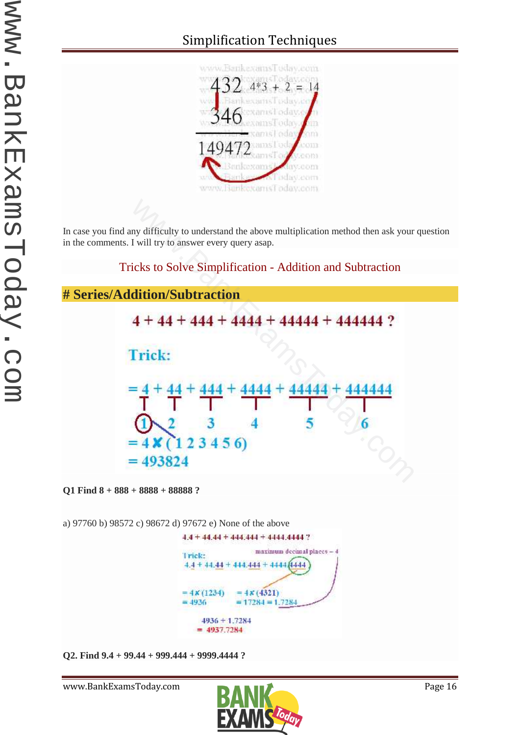

In case you find any difficulty to understand the above multiplication method then ask your question in the comments. I will try to answer every query asap.

# Tricks to Solve Simplification - Addition and Subtraction



a) 97760 b) 98572 c) 98672 d) 97672 e) None of the above



**Q2. Find 9.4 + 99.44 + 999.444 + 9999.4444 ?**

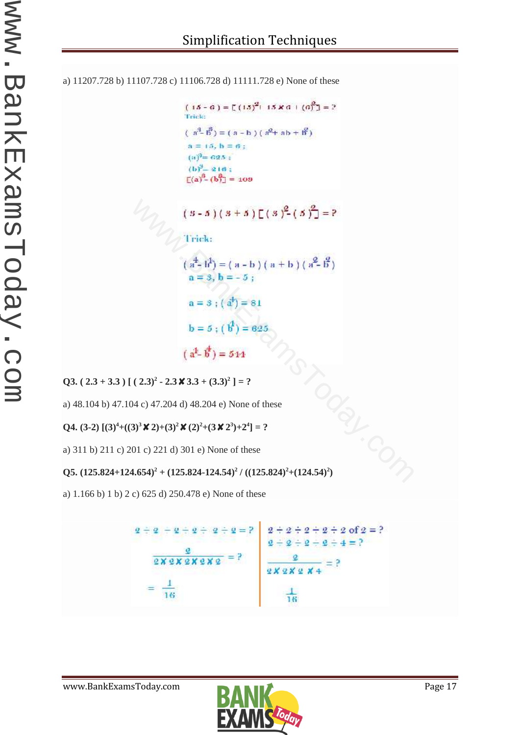a) 11207.728 b) 11107.728 c) 11106.728 d) 11111.728 e) None of these

 $(15-6) = [(15)^{2}]$  15 k G |  $(6)^{2}$ ] = 2 Trick  $(s^3 - b^3) = (a - b)(s^2 + ab + b^2)$  $a = 15, b = 6;$  $(a)^3 = 62.5$ ;  $(b)^3 - 216$ ;  $\Gamma(a)^3 - (b)^3 = 109$ 

(a+ ii)  $[(3 + 5) [ (3)^{2} (5)^{2}] = ?$ <br>
(a+ ii)  $=(a - b) (a + b) (a^{2} - b^{2})$ <br>
(a+ ii)  $=(a - 5) (a + b) (a^{2} - b^{2})$ <br>
(a = 3, b = - 5;<br>
(a = 3 ; (d) = 81<br>
b = 5 ; (d) = 825<br>
(a<sup>1</sup> - d) = 81<br>
(2.3)<sup>2</sup> - 2.3 **x** 3.3 + (3.3)<sup>2</sup> ] = ?<br>
(3) 2 + (

**Q3.**  $(2.3 + 3.3)$   $[(2.3)^{2} - 2.3 \times 3.3 + (3.3)^{2}] = ?$ 

a) 48.104 b) 47.104 c) 47.204 d) 48.204 e) None of these

**Q4. (3-2) [(3)<sup>4</sup>+((3)<sup>3</sup>✘2)+(3)<sup>2</sup>✘(2)<sup>2</sup>+(3✘2 <sup>3</sup>)+2<sup>4</sup>] = ?**

a) 311 b) 211 c) 201 c) 221 d) 301 e) None of these

**Q5. (125.824+124.654)<sup>2</sup> + (125.824-124.54)<sup>2</sup> / ((125.824)<sup>2</sup>+(124.54)<sup>2</sup>)**

a) 1.166 b) 1 b) 2 c) 625 d) 250.478 e) None of these

$$
\frac{q+q+q+q+q+q+q}{\frac{q}{2} \times q \times q \times q \times q} = ?
$$
\n
$$
\frac{q}{2} \times q \times q \times q \times q} = ?
$$
\n
$$
\frac{q}{2} \times q \times q \times q \times q} = ?
$$
\n
$$
\frac{q}{2} \times q \times q \times q \times q} = ?
$$
\n
$$
\frac{q}{2} \times q \times q \times q \times q} = ?
$$

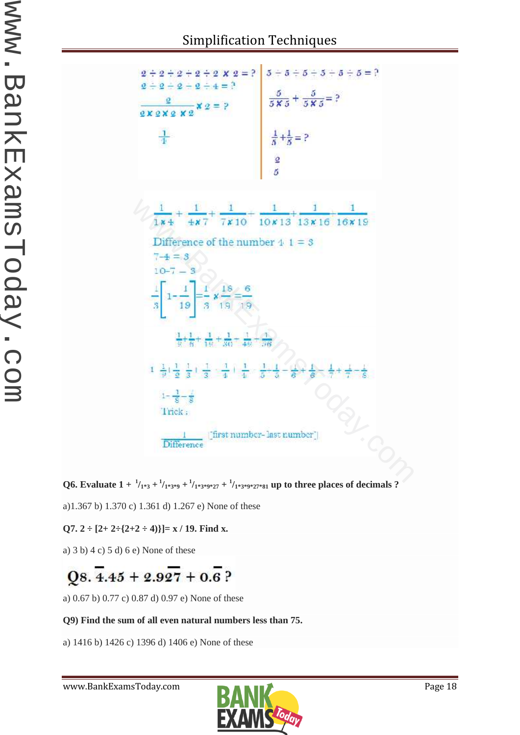

Q6. Evaluate  $1 + \frac{1}{1*3} + \frac{1}{1*3*9} + \frac{1}{1*3*9*27} + \frac{1}{1*3*9*27*81}$  up to three places of decimals ?

a)1.367 b) 1.370 c) 1.361 d) 1.267 e) None of these

Q7.  $2 \div [2 + 2 \div {2 \div 2 \div 4}] = x / 19$ . Find x.

a) 3 b) 4 c) 5 d) 6 e) None of these

# $Q8.4.45 + 2.927 + 0.6$  ?

a) 0.67 b) 0.77 c) 0.87 d) 0.97 e) None of these

#### **Q9) Find the sum of all even natural numbers less than 75.**

a) 1416 b) 1426 c) 1396 d) 1406 e) None of these

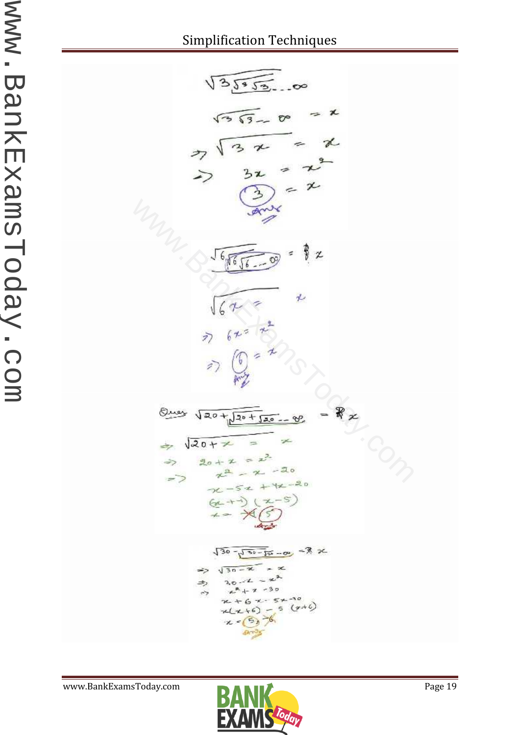

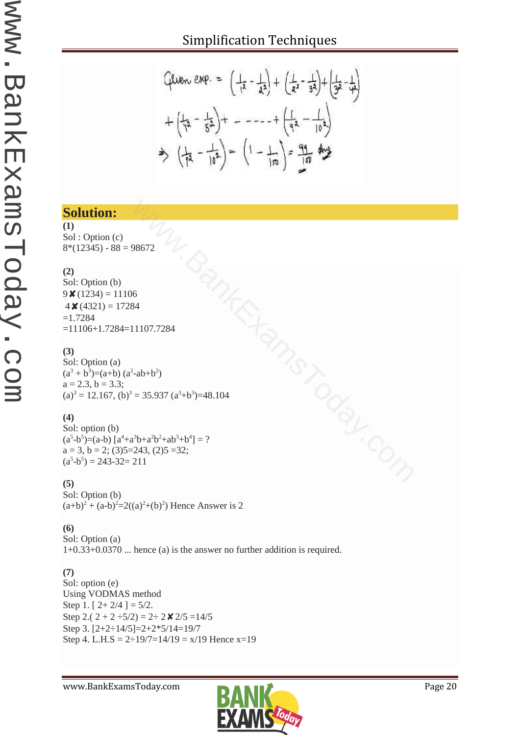$$
\begin{aligned}\n\text{Given } exp. &= \left( \frac{1}{12} - \frac{1}{4^2} \right) + \left( \frac{1}{4^2} - \frac{1}{3^2} \right) + \left( \frac{1}{3^2} - \frac{1}{4^2} \right) \\
+ \left( \frac{1}{12} - \frac{1}{5^2} \right) + \cdots \\
- \cdots \\
+ \left( \frac{1}{12} - \frac{1}{10^2} \right) &= \left( 1 - \frac{1}{10} \right) = \frac{91}{10} \text{ days}\n\end{aligned}
$$

# **Solution:**

**(1)** Sol: Option (c)  $8*(12345) - 88 = 98672$ 

#### **(2)**

Sol: Option (b)  $9$  $\mathsf{X}(1234) = 11106$ 4**✘**(4321) = 17284  $=1.7284$ =11106+1.7284=11107.7284

#### **(3)**

Sol: Option (a)  $(a^{3} + b^{3}) = (a+b)(a^{2}-ab+b^{2})$  $a = 2.3, b = 3.3;$  $(a)<sup>3</sup> = 12.167$ ,  $(b)<sup>3</sup> = 35.937$   $(a<sup>3</sup>+b<sup>3</sup>)=48.104$ ampturamsToday.com

#### **(4)**

Sol: option (b)  $(a^5-b^5)=(a-b)(a^4+a^3b+a^2b^2+ab^3+b^4)=?$  $a = 3$ ,  $b = 2$ ; (3)5=243, (2)5=32;  $(a<sup>5</sup>-b<sup>5</sup>) = 243-32=211$ 

#### **(5)**

Sol: Option (b)  $(a+b)^2 + (a-b)^2 = 2((a)^2 + (b)^2)$  Hence Answer is 2

#### **(6)**

Sol: Option (a) 1+0.33+0.0370 ... hence (a) is the answer no further addition is required.

#### **(7)**

Sol: option (e) Using VODMAS method Step 1.  $[2+2/4] = 5/2$ . Step 2.(  $2 + 2 \div 5/2$ ) = 2 $\div 2 \times 2/5 = 14/5$ Step 3. [2+2÷14/5]=2+2\*5/14=19/7 Step 4. L.H.S =  $2\div 19/7=14/19 = x/19$  Hence  $x=19$ 

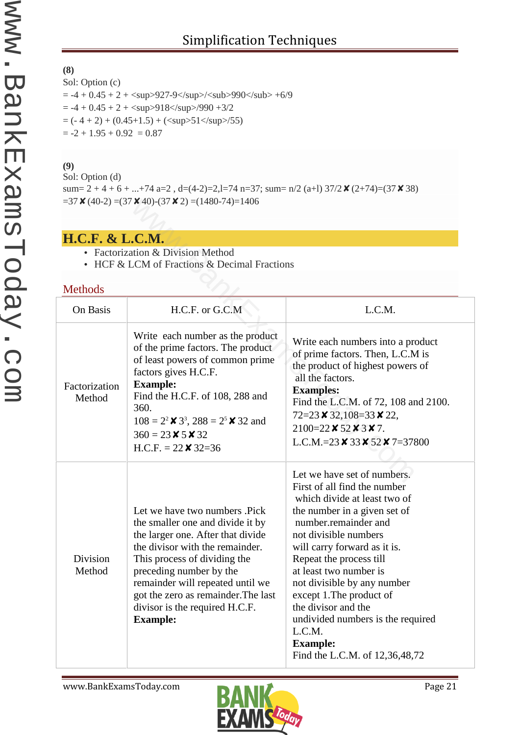#### **(8)**

#### **(9)**

# **H.C.F. & L.C.M.**

#### Methods

|                                                       | Simplification Techniques                                                                                                                                                                                                                                                                                                            |                                                                                                                                                                                                                                                                                                                                                                                                                                                         |
|-------------------------------------------------------|--------------------------------------------------------------------------------------------------------------------------------------------------------------------------------------------------------------------------------------------------------------------------------------------------------------------------------------|---------------------------------------------------------------------------------------------------------------------------------------------------------------------------------------------------------------------------------------------------------------------------------------------------------------------------------------------------------------------------------------------------------------------------------------------------------|
| (8)<br>Sol: Option (c)<br>$= -2 + 1.95 + 0.92 = 0.87$ | $= -4 + 0.45 + 2 + \langle \text{sup} \rangle 927 - 9 \langle \text{sup} \rangle / \langle \text{sub} \rangle 990 \langle \text{sub} \rangle + 6/9$<br>$= -4 + 0.45 + 2 + \langle \text{sup}{\rangle}918 \langle \text{sup}{\rangle}/990 + 3/2$<br>$= (-4 + 2) + (0.45 + 1.5) + (\langle \text{sup}{>}51 \langle \text{sup}{>}755)$  |                                                                                                                                                                                                                                                                                                                                                                                                                                                         |
| (9)<br>Sol: Option (d)<br><b>H.C.F. &amp; L.C.M.</b>  | sum= 2 + 4 + 6 + +74 a=2, d=(4-2)=2,l=74 n=37; sum= n/2 (a+l) $37/2$ × (2+74)=(37 × 38)<br>$=$ 37 <b>X</b> (40-2) $=(37 \times 40)$ - $(37 \times 2)$ $=(1480-74)$ =1406<br>• Factorization & Division Method                                                                                                                        |                                                                                                                                                                                                                                                                                                                                                                                                                                                         |
| <b>Methods</b>                                        | • HCF & LCM of Fractions & Decimal Fractions                                                                                                                                                                                                                                                                                         |                                                                                                                                                                                                                                                                                                                                                                                                                                                         |
| On Basis                                              | H.C.F. or G.C.M                                                                                                                                                                                                                                                                                                                      | L.C.M.                                                                                                                                                                                                                                                                                                                                                                                                                                                  |
| Factorization<br>Method                               | Write each number as the product<br>of the prime factors. The product<br>of least powers of common prime<br>factors gives H.C.F.<br><b>Example:</b><br>Find the H.C.F. of 108, 288 and<br>360.<br>$108 = 2^2 \times 3^3$ , $288 = 2^5 \times 32$ and<br>$360 = 23 \times 5 \times 32$<br>$H.C.F. = 22 \times 32 = 36$                | Write each numbers into a product<br>of prime factors. Then, L.C.M is<br>the product of highest powers of<br>all the factors.<br><b>Examples:</b><br>Find the L.C.M. of 72, 108 and 2100.<br>72=23 $\times$ 32,108=33 $\times$ 22,<br>$2100=22 \times 52 \times 3 \times 7$ .<br>L.C.M.=23 $\times$ 33 $\times$ 52 $\times$ 7=37800                                                                                                                     |
| Division<br>Method                                    | Let we have two numbers .Pick<br>the smaller one and divide it by<br>the larger one. After that divide<br>the divisor with the remainder.<br>This process of dividing the<br>preceding number by the<br>remainder will repeated until we<br>got the zero as remainder. The last<br>divisor is the required H.C.F.<br><b>Example:</b> | Let we have set of numbers.<br>First of all find the number<br>which divide at least two of<br>the number in a given set of<br>number.remainder and<br>not divisible numbers<br>will carry forward as it is.<br>Repeat the process till<br>at least two number is<br>not divisible by any number<br>except 1. The product of<br>the divisor and the<br>undivided numbers is the required<br>L.C.M.<br><b>Example:</b><br>Find the L.C.M. of 12,36,48,72 |

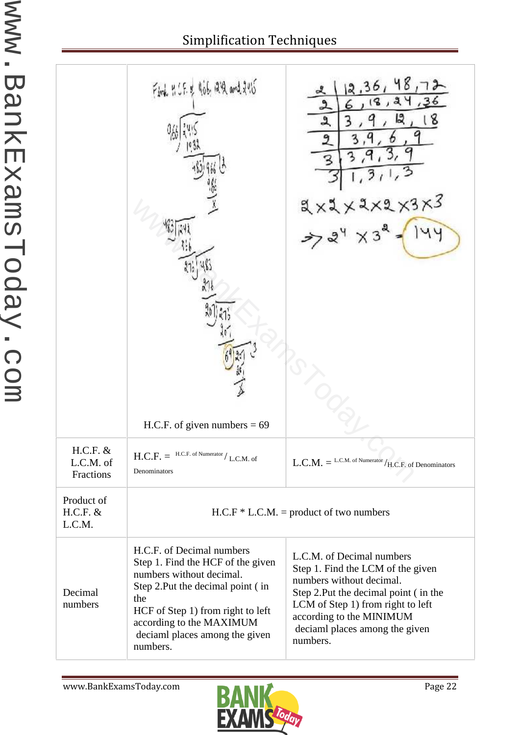| <b>Simplification Techniques</b> |
|----------------------------------|
|----------------------------------|

|                                      | Find H.S.F. & Rob, Rule and 245<br>H.C.F. of given numbers = $69$                                                                                                                                                                                    | 18<br>3x3x2x3x3                                                                                                                                                                                                                                   |
|--------------------------------------|------------------------------------------------------------------------------------------------------------------------------------------------------------------------------------------------------------------------------------------------------|---------------------------------------------------------------------------------------------------------------------------------------------------------------------------------------------------------------------------------------------------|
| $H.C.F.$ &<br>L.C.M. of<br>Fractions | H.C.F. of Numerator $\big/$ L.C.M. of<br>$H.C.F. =$<br>Denominators                                                                                                                                                                                  | $L.C.M. = {}^{L.C.M. \text{ of Numerator}}/{}_{H.C.F. \text{ of Denominators}}$                                                                                                                                                                   |
| Product of<br>$H.C.F.$ &<br>L.C.M.   |                                                                                                                                                                                                                                                      | $H.C.F * L.C.M. = product of two numbers$                                                                                                                                                                                                         |
| Decimal<br>numbers                   | H.C.F. of Decimal numbers<br>Step 1. Find the HCF of the given<br>numbers without decimal.<br>Step 2.Put the decimal point (in<br>the<br>HCF of Step 1) from right to left<br>according to the MAXIMUM<br>deciaml places among the given<br>numbers. | L.C.M. of Decimal numbers<br>Step 1. Find the LCM of the given<br>numbers without decimal.<br>Step 2.Put the decimal point (in the<br>LCM of Step 1) from right to left<br>according to the MINIMUM<br>deciaml places among the given<br>numbers. |

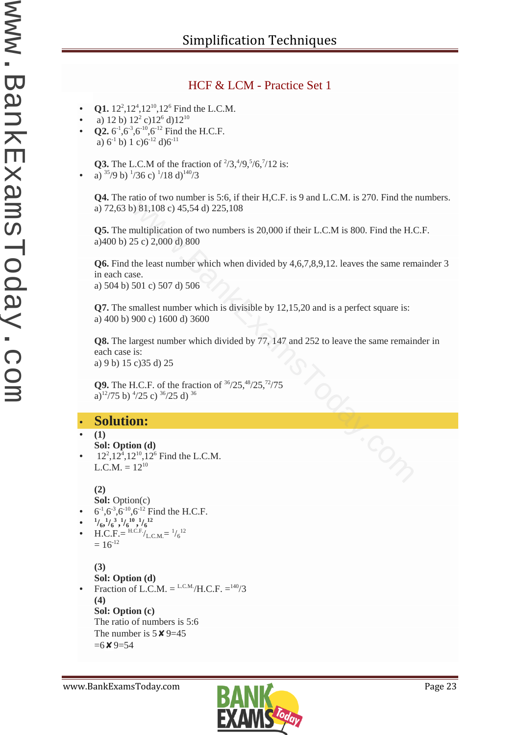## HCF & LCM - Practice Set 1

- **Q1.**  $12^2$ ,  $12^4$ ,  $12^{10}$ ,  $12^6$  Find the L.C.M.
- a) 12 b)  $12^2$  c) $12^6$  d) $12^{10}$
- **Q2.**  $6^{-1}$ , $6^{-3}$ , $6^{-10}$ , $6^{-12}$  Find the H.C.F. a)  $6^{-1}$  b) 1 c) $6^{-12}$  d) $6^{-11}$

**Q3.** The L.C.M of the fraction of  $^{2}/3$ ,  $^{4}/9$ ,  $^{5}/6$ ,  $^{7}/12$  is: • a)  $\frac{35}{9}$  b)  $\frac{1}{36}$  c)  $\frac{1}{18}$  d) $\frac{140}{3}$ 

**Q4.** The ratio of two number is 5:6, if their H,C.F. is 9 and L.C.M. is 270. Find the numbers. a) 72,63 b) 81,108 c) 45,54 d) 225,108

**Q5.** The multiplication of two numbers is 20,000 if their L.C.M is 800. Find the H.C.F. a)400 b) 25 c) 2,000 d) 800

**Q6.** Find the least number which when divided by 4,6,7,8,9,12. leaves the same remainder 3 in each case. a) 504 b) 501 c) 507 d) 506

**Q7.** The smallest number which is divisible by 12,15,20 and is a perfect square is: a) 400 b) 900 c) 1600 d) 3600

**Q8.** The largest number which divided by 77, 147 and 252 to leave the same remainder in each case is: a) 9 b) 15 c)35 d) 25 and on two numbers is 20,000 if their L.C.M is 200. Find the H.O. Solid Life and on two numbers is 20,000 if their L.C.M is 800. Find the H.O. Solid 25 c) 2,000 d) 800<br>the least number which when divided by 4,6,7,8,9,12.

**Q9.** The H.C.F. of the fraction of  $\frac{36}{25}$ ,  $\frac{48}{25}$ ,  $\frac{72}{75}$ a)<sup>12</sup>/75 b)<sup>4</sup>/25 c)<sup>36</sup>/25 d)<sup>36</sup>

#### **Solution:**

- **(1)**
- **Sol: Option (d)** •  $12^2,12^4,12^{10},12^6$  Find the L.C.M.  $L.C.M. = 12^{10}$

```
(2)
      Sol: Option(c) • 6^{-1},6^{-3},6^{-10},6^{-12} Find the H.C.F.
\bullet \frac{1}{6}, \frac{1}{6}, \frac{3}{6}, \frac{1}{6}, \frac{10}{6}, \frac{1}{6}, \frac{12}{6}• H.C.F.= ^{H.C.F.}/_{L.C.M.} = \frac{1}{6}^{12}= 16^{-12}(3)
      Sol: Option (d)
```
Fraction of L.C.M. =  $^{L.C.M.}/H.C.F. =^{140}/3$ **(4) Sol: Option (c)** The ratio of numbers is 5:6 The number is  $5 \times 9 = 45$  $=6 \times 9 = 54$ 

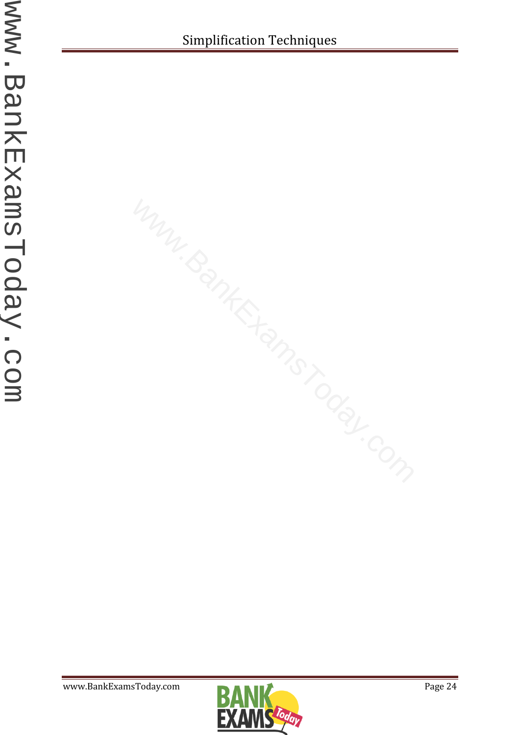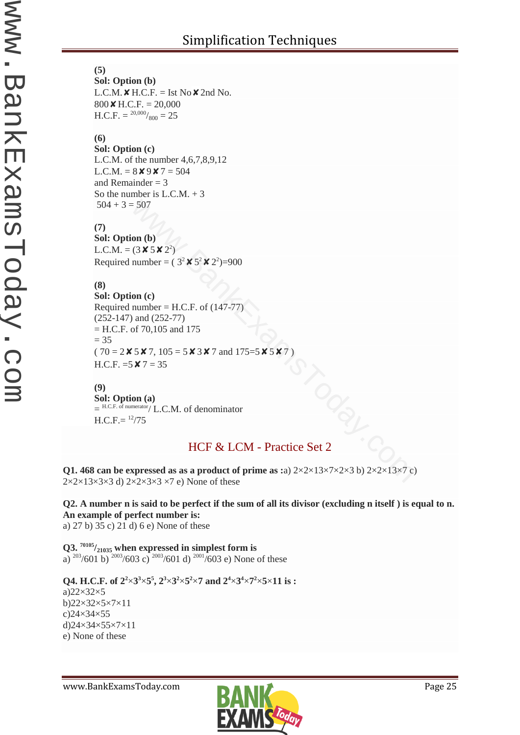#### **(5) Sol: Option (b)**

L.C.M.  $\times$  H.C.F. = Ist No  $\times$  2nd No.  $800 \times H.C.F. = 20,000$  $H.C.F. = {^{20,000}}/{_{800}} = 25$ 

#### **(6)**

**Sol: Option (c)** L.C.M. of the number 4,6,7,8,9,12 L.C.M. =  $8 \times 9 \times 7 = 504$ and Remainder  $= 3$ So the number is L.C.M. + 3  $504 + 3 = 507$ 

#### **(7)**

**Sol: Option (b)** L.C.M. =  $(3 \times 5 \times 2^2)$ Required number =  $(3^2 \times 5^2 \times 2^2) = 900$ 

#### **(8)**

**Sol: Option (c)** Required number = H.C.F. of  $(147-77)$ (252-147) and (252-77) = H.C.F. of 70,105 and 175  $= 35$  $(70 = 2 \times 5 \times 7, 105 = 5 \times 3 \times 7$  and  $175 = 5 \times 5 \times 7$ H.C.F.  $=5 \times 7 = 35$ = 507<br>
ion (b)<br>  $(3 \times 5 \times 2^2)$ <br>
number =  $(3^2 \times 5^2 \times 2^2)$ =900<br>
ion (c)<br>
number = H.C.F. of (147-77)<br>
of 70,105 and 175<br>
of 70,105 and 175<br>  $5 \times 7$ , 105 = 5  $\times 3 \times 7$  and 175=5  $\times 5 \times 7$ <br>  $\times 7 = 35$ <br>
ion (a)<br>
MCF & L

#### **(9)**

**Sol: Option (a)**  $=$  H.C.F. of numerator/ L.C.M. of denominator  $H.C.F. = <sup>12</sup>/75$ 

# HCF & LCM - Practice Set 2

**Q1. 468 can be expressed as as a product of prime as :**a) 2×2×13×7×2×3 b) 2×2×13×7 c)  $2 \times 2 \times 13 \times 3 \times 3$  d)  $2 \times 2 \times 3 \times 3 \times 7$  e) None of these

**Q2. A number n is said to be perfect if the sum of all its divisor (excluding n itself ) is equal to n. An example of perfect number is:** a) 27 b) 35 c) 21 d) 6 e) None of these

**Q3. <sup>70105</sup>/<sup>21035</sup> when expressed in simplest form is** a)  $^{203}/601$  b)  $^{2003}/603$  c)  $^{2003}/601$  d)  $^{2001}/603$  e) None of these

#### **Q4. H.C.F.** of  $2^2 \times 3^3 \times 5^5$ ,  $2^3 \times 3^2 \times 5^2 \times 7$  and  $2^4 \times 3^4 \times 7^2 \times 5 \times 11$  is : a)22×32×5 b)22×32×5×7×11 c)24×34×55 d)24×34×55×7×11 e) None of these

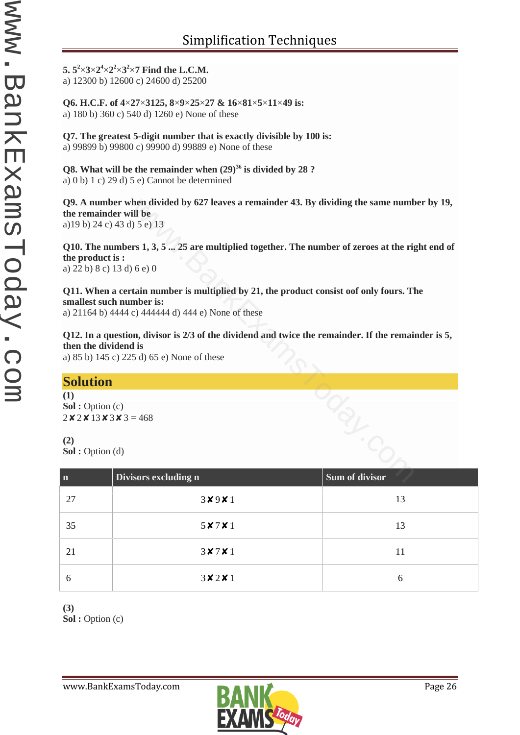#### **5. 5<sup>2</sup>**×**3**×**2 <sup>4</sup>**×**2 <sup>2</sup>**×**3 <sup>2</sup>**×**7 Find the L.C.M.** a) 12300 b) 12600 c) 24600 d) 25200

**Q6. H.C.F. of 4**×**27**×**3125, 8**×**9**×**25**×**27 & 16**×**81**×**5**×**11**×**49 is:** a) 180 b) 360 c) 540 d) 1260 e) None of these

**Q7. The greatest 5-digit number that is exactly divisible by 100 is:** a) 99899 b) 99800 c) 99900 d) 99889 e) None of these

**Q8. What will be the remainder when (29)<sup>36</sup> is divided by 28 ?** a) 0 b) 1 c) 29 d) 5 e) Cannot be determined

**Q9. A number when divided by 627 leaves a remainder 43. By dividing the same number by 19, the remainder will be**

a)19 b) 24 c) 43 d) 5 e) 13

**Q10. The numbers 1, 3, 5 ... 25 are multiplied together. The number of zeroes at the right end of the product is :** a) 22 b) 8 c) 13 d) 6 e) 0 then divided by 627 leaves a remainder 43. By dividing the same number<br>iil be<br>  $0.5 \text{ e } 13$ <br>  $0.5 \text{ e } 13$ <br>  $0.5 \text{ e } 13$ <br>  $0.6 \text{ e } 0$ <br>  $0$ <br>  $0.7 \text{ tain number is multiplied by 21, the product consist of only fours. The number of zeros at the right, we can use the result of the number of zeros. The number is:  $0.444444 \text{ d } 144 \text{ e } 1$$ 

#### **Q11. When a certain number is multiplied by 21, the product consist oof only fours. The smallest such number is:**

a) 21164 b) 4444 c) 444444 d) 444 e) None of these

**Q12. In a question, divisor is 2/3 of the dividend and twice the remainder. If the remainder is 5, then the dividend is**

a) 85 b) 145 c) 225 d) 65 e) None of these

# **Solution**

#### **(1)**

**Sol :** Option (c)  $2 \times 2 \times 13 \times 3 \times 3 = 468$ 

#### **(2)**

**Sol :** Option (d)

| $\mathbf n$ | Divisors excluding n          | Sum of divisor |
|-------------|-------------------------------|----------------|
| 27          | $3$ <i>X</i> $9$ <i>X</i> $1$ | 13             |
| 35          | $5$ $\times$ $7$ $\times$ $1$ | 13             |
| 21          | $3$ X $7$ X 1                 | 11             |
| 6           | $3 \times 2 \times 1$         | 6              |

#### **(3) Sol :** Option (c)

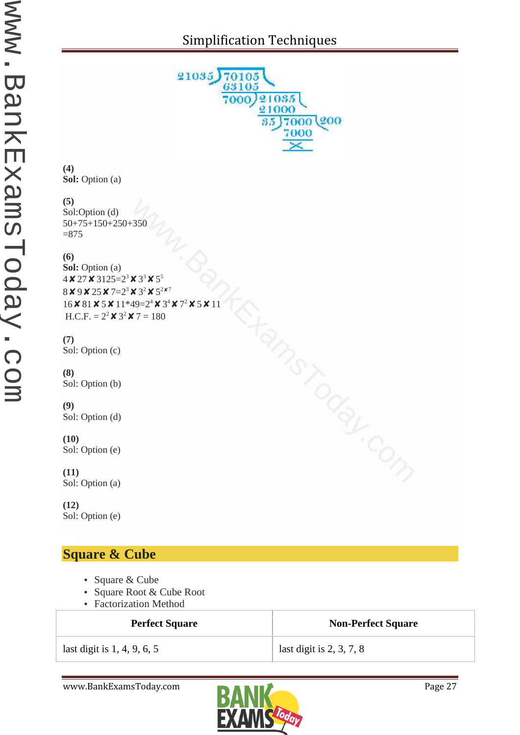

**(12)** Sol: Option (e)

# **Square & Cube**

- Square & Cube
- Square Root & Cube Root
- Factorization Method

| <b>Perfect Square</b>       | <b>Non-Perfect Square</b>  |
|-----------------------------|----------------------------|
| last digit is 1, 4, 9, 6, 5 | last digit is $2, 3, 7, 8$ |

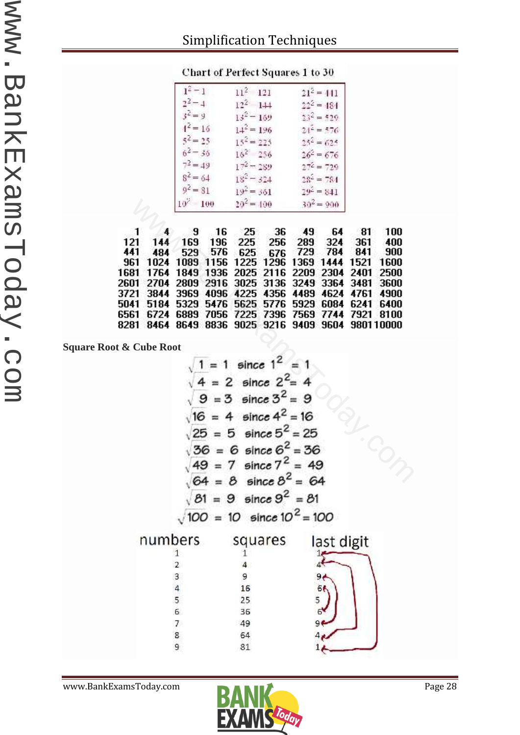|                | $21^2 = 111$                                                                                             |
|----------------|----------------------------------------------------------------------------------------------------------|
| $12^2$ 144     | $22^2 = 181$                                                                                             |
| $13^{2} - 159$ | $23^2 = 529$                                                                                             |
| $14^2 = 196$   | $21^2 = 576$                                                                                             |
|                | $25^2 = 625$                                                                                             |
|                | $26^2 = 676$                                                                                             |
|                | $27^2 = 729$                                                                                             |
|                | $28^2 = 784$                                                                                             |
|                | $29 - 841$<br>$30^2 = 900$                                                                               |
|                | $11^2$ 121<br>$15^2 = 225$<br>$16^2$ 256<br>$17^2 - 289$<br>$18^2 = 324$<br>$19^2 = 361$<br>$20^2 = 100$ |

Chart of Perfect Squares 1 to 30

|              |      | $10^{\circ}$ | 100                                       | $20^2 = 100$ |                     |      | $30^2 = 900$ |      |           |
|--------------|------|--------------|-------------------------------------------|--------------|---------------------|------|--------------|------|-----------|
| $\mathbf{I}$ |      | 9            | 16                                        | 25           | 36                  | 49   | 64           | 81   | 100       |
| 121          | 144  | 169          | 196                                       | 225          | 256                 | 289  | 324          | 361  | 400       |
| 441          | 484  | 529          | 576                                       | 625          | 676                 | 729  | 784          | 841  | 900       |
| 961          | 1024 | 1089         | 1156                                      | 1225         | 1296                | 1369 | 1444         | 1521 | 1600      |
| 1681         | 1764 | 1849         | 1936                                      | 2025         | 2116                | 2209 | 2304         | 2401 | 2500      |
| 2601         | 2704 | 2809         | 2916                                      | 3025         | 3136                | 3249 | 3364         | 3481 | 3600      |
| 3721         | 3844 | 3969         | 4096                                      | 4225         | 4356                | 4489 | 4624         | 4761 | 4900      |
| 5041         | 5184 | 5329         | 5476                                      | 5625         | 5776                | 5929 | 6084         | 6241 | 6400      |
| 6561         | 6724 | 6889         | 7056                                      | 7225         | 7396                | 7569 | 7744         | 7921 | 8100      |
| 8281         | 8464 | 8649         | 8836                                      | 9025         | 9216                | 9409 | 9604         |      | 980110000 |
|              |      |              |                                           |              | since $1^2$         |      |              |      |           |
|              |      |              |                                           |              | = 2 since $2^2$ = 4 |      |              |      |           |
|              |      |              | 9                                         |              | = 3 since $3^2$ = 9 |      |              |      |           |
|              |      |              | $\sqrt{16}$ = 4 since $4^2$ = 16          |              |                     |      |              |      |           |
|              |      |              | $25 = 5$                                  |              | since $5^2$ = 25    |      |              |      |           |
|              |      |              | $\sqrt{36}$ = 6 since 6 <sup>2</sup> = 36 |              |                     |      |              |      |           |
|              |      |              | 49                                        |              | since $7^2$ =       | 49   |              |      |           |
|              |      |              | $64 =$                                    | $\beta$      | $since B^2 =$       |      |              |      |           |

**Square Root & Cube Root**

|               | $1 = 1$ since $1^2$                       |        |
|---------------|-------------------------------------------|--------|
|               | $\sqrt{4}$ = 2 since $2^2$ = 4            |        |
|               | $9 = 3$ since $3^2 = 9$                   |        |
|               | $\sqrt{16}$ = 4 since $4^2$ = 16          |        |
|               | $25 = 5$ since $5^2 = 25$                 |        |
|               | $\sqrt{36}$ = 6 since 6 <sup>2</sup> = 36 |        |
|               | $\sqrt{49}$ = 7 since $7^2$ = 49          |        |
|               | $64 = 8$ since $8^2 = 64$                 |        |
|               | $\sqrt{81}$ = 9 since $9^2$ = 81          |        |
|               | $\sqrt{100}$ = 10 since $10^2$ = 100      |        |
| numbers       | squares                                   | last c |
|               |                                           |        |
| $\mathcal{D}$ |                                           |        |
| 3             | 9                                         |        |
| 4             | 16                                        | 66.    |

| s | last digit         |
|---|--------------------|
|   |                    |
|   | $rac{96}{66}$<br>5 |
|   |                    |
|   | л                  |

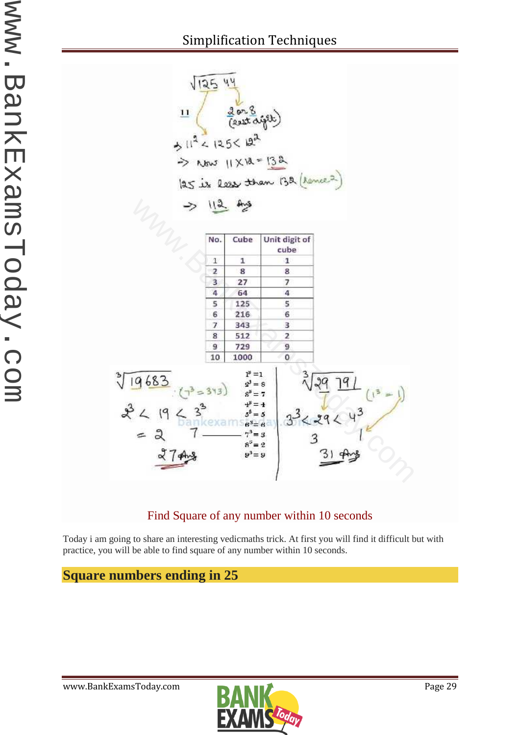

# Find Square of any number within 10 seconds

Today i am going to share an interesting vedicmaths trick. At first you will find it difficult but with practice, you will be able to find square of any number within 10 seconds.

# **Square numbers ending in 25**

www.BankExamsToday.com

www.BankExamsToday.com

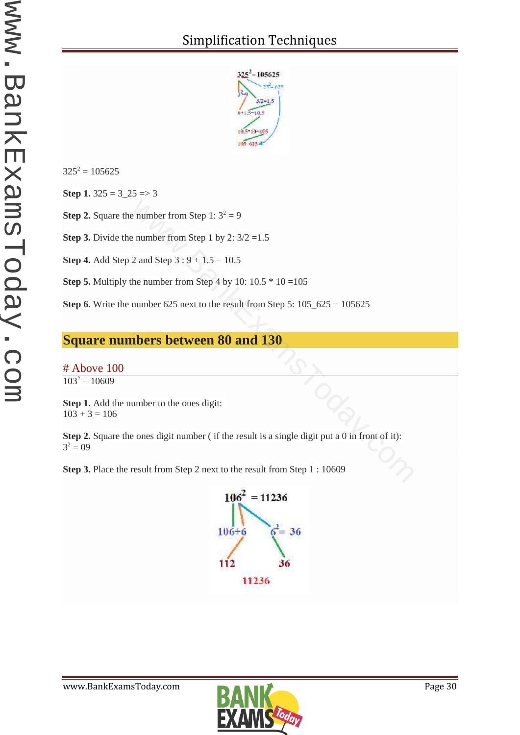

 $325^2 = 105625$ 

**Step 1.**  $325 = 3 \cdot 25 \Rightarrow 3$ 

**Step 2.** Square the number from Step 1:  $3^2 = 9$ 

**Step 3.** Divide the number from Step 1 by 2:  $3/2 = 1.5$ 

**Step 4.** Add Step 2 and Step  $3:9 + 1.5 = 10.5$ 

**Step 5.** Multiply the number from Step 4 by 10:  $10.5 * 10 = 105$ 

**Step 6.** Write the number 625 next to the result from Step 5:  $105\,625 = 105625$ 

#### **Square numbers between 80 and 130**

# # Above 100

 $103^2 = 10609$ 

**Step 1.** Add the number to the ones digit:  $103 + 3 = 106$ 

**Step 2.** Square the ones digit number (if the result is a single digit put a 0 in front of it):  $3^2 = 09$ e number from Step 1 by 2:  $3/2 = 1.5$ <br>
2 and Step 3 :  $9 + 1.5 = 10.5$ <br>
the number from Step 4 by 10:  $10.5 * 10 = 105$ <br>
number 625 next to the result from Step 5:  $105\_625 = 105625$ <br> **number solution 80 and 130**<br>
umber to the

**Step 3.** Place the result from Step 2 next to the result from Step 1 : 10609



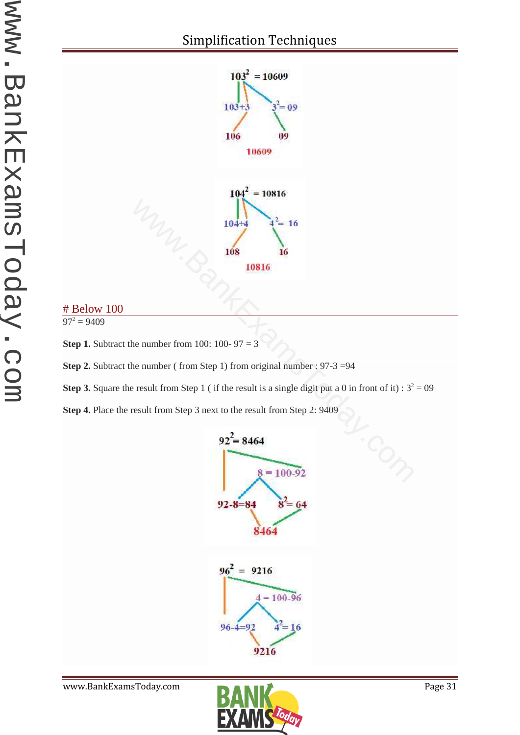

#### # Below 100  $\overline{97^2} = 9409$

**Step 1.** Subtract the number from 100: 100-  $97 = 3$ 

**Step 2.** Subtract the number ( from Step 1) from original number : 97-3 = 94

**Step 3.** Square the result from Step 1 ( if the result is a single digit put a 0 in front of it) :  $3^2 = 09$ 

**Step 4.** Place the result from Step 3 next to the result from Step 2: 9409



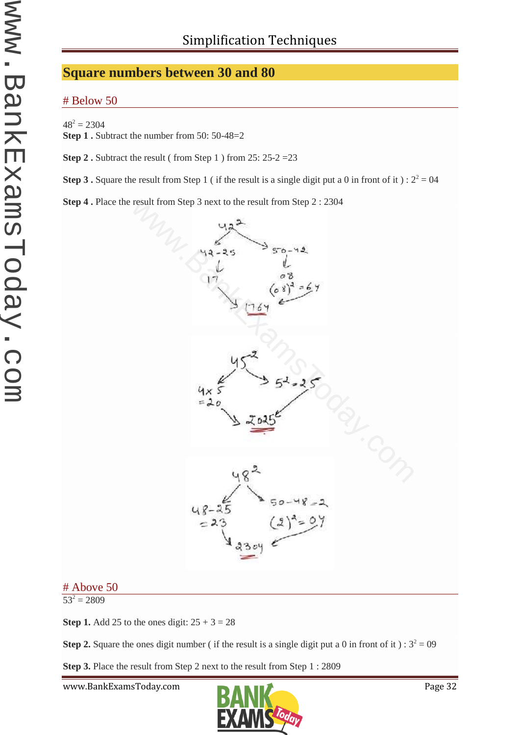# **Square numbers between 30 and 80**

#### # Below 50

 $48^2 = 2304$ 

**Step 1 .** Subtract the number from 50: 50-48=2

**Step 2.** Subtract the result ( from Step 1 ) from 25: 25-2 = 23

**Step 3.** Square the result from Step 1 (if the result is a single digit put a 0 in front of it):  $2^2 = 04$ 

**Step 4 .** Place the result from Step 3 next to the result from Step 2 : 2304



#### # Above 50

 $53^2 = 2809$ 

**Step 1.** Add 25 to the ones digit:  $25 + 3 = 28$ 

**Step 2.** Square the ones digit number ( if the result is a single digit put a 0 in front of it) :  $3^2 = 09$ 

**Step 3.** Place the result from Step 2 next to the result from Step 1 : 2809

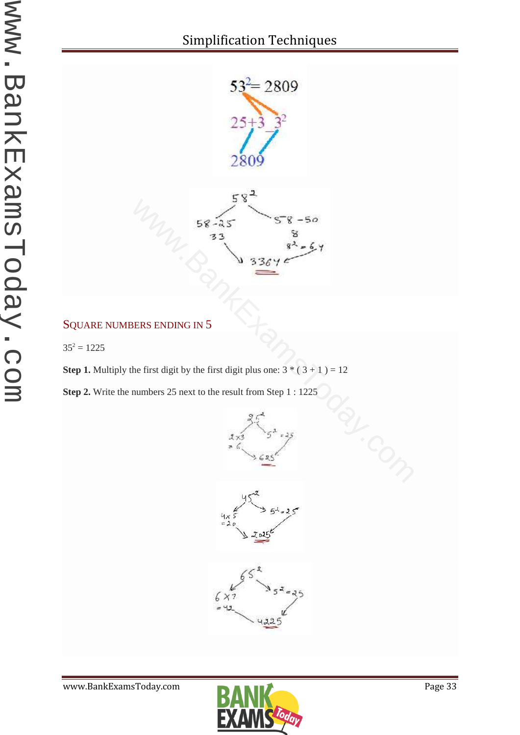



#### SQUARE NUMBERS ENDING IN 5

 $35^2 = 1225$ 

**Step 1.** Multiply the first digit by the first digit plus one:  $3 * (3 + 1) = 12$ 

**Step 2.** Write the numbers 25 next to the result from Step 1 : 1225



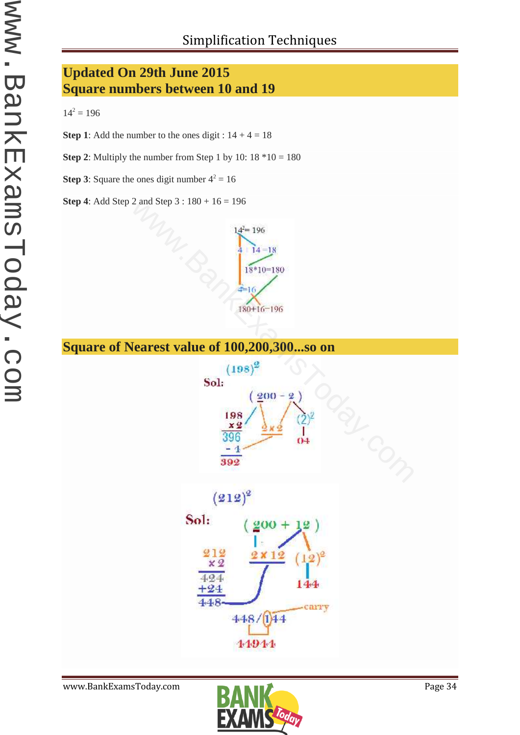# **Updated On 29th June 2015 Square numbers between 10 and 19**

 $14^2 = 196$ 

- **Step 1**: Add the number to the ones digit :  $14 + 4 = 18$
- **Step 2**: Multiply the number from Step 1 by 10:  $18 * 10 = 180$
- **Step 3**: Square the ones digit number  $4^2 = 16$
- **Step 4**: Add Step 2 and Step 3 :  $180 + 16 = 196$



#### **Square of Nearest value of 100,200,300...so on**





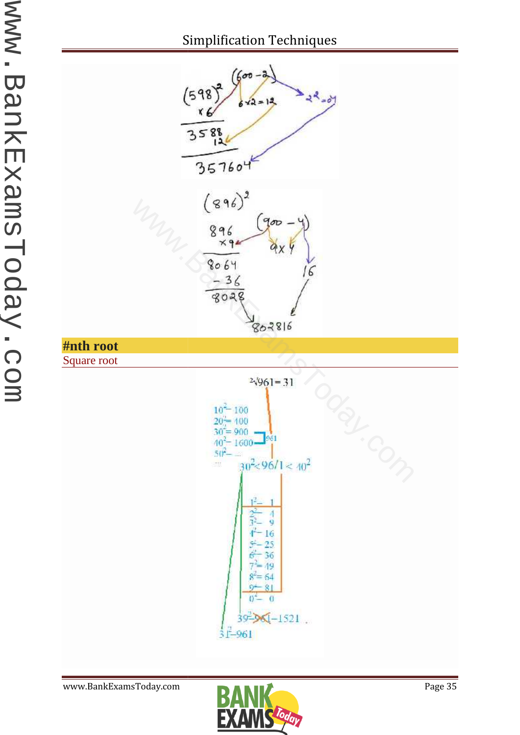



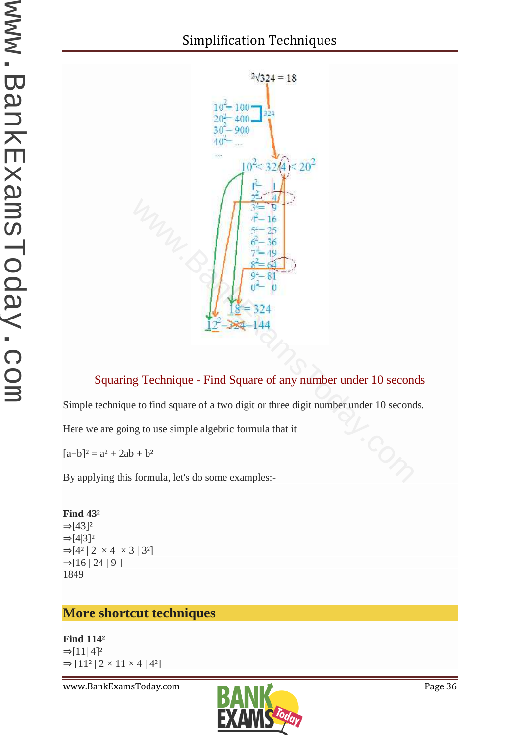

# Squaring Technique - Find Square of any number under 10 seconds

Simple technique to find square of a two digit or three digit number under 10 seconds.

Here we are going to use simple algebric formula that it

 $[a+b]^2 = a^2 + 2ab + b^2$ 

By applying this formula, let's do some examples:-

#### **Find 43²**

 $\Rightarrow$ [43]<sup>2</sup>  $\Rightarrow$ [4|3]<sup>2</sup>  $\Rightarrow$ [4<sup>2</sup> | 2 × 4 × 3 | 3<sup>2</sup>]  $\Rightarrow$ [16 | 24 | 9 ] 1849

# **More shortcut techniques**

**Find 114²**  $\Rightarrow$ [11| 4]<sup>2</sup>  $\Rightarrow$  [11<sup>2</sup> | 2 × 11 × 4 | 4<sup>2</sup>]

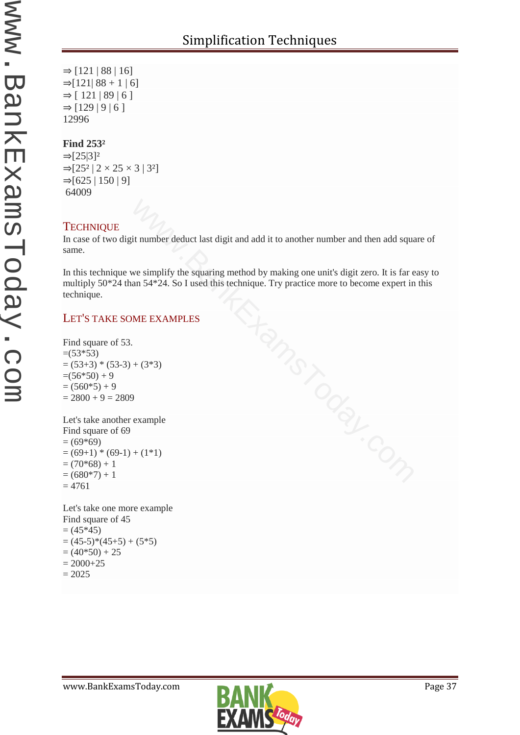$\Rightarrow$  [121 | 88 | 16]  $\Rightarrow$ [121| 88 + 1 | 6]  $\Rightarrow$  [ 121 | 89 | 6 ] ⇒  $[129 | 9 | 6]$ 12996

#### **Find 253²**

 $\Rightarrow$ [25|3]<sup>2</sup>  $\Rightarrow$ [25<sup>2</sup> | 2 × 25 × 3 | 3<sup>2</sup>]  $\Rightarrow$ [625 | 150 | 9] 64009

#### **TECHNIQUE**

In case of two digit number deduct last digit and add it to another number and then add square of same.

In this technique we simplify the squaring method by making one unit's digit zero. It is far easy to multiply 50\*24 than 54\*24. So I used this technique. Try practice more to become expert in this technique.

#### LET'S TAKE SOME EXAMPLES

Find square of 53.  $=(53*53)$  $= (53+3) * (53-3) + (3*3)$  $= (56*50) + 9$  $= (560*5) + 9$  $= 2800 + 9 = 2809$ 

Let's take another example Find square of 69  $= (69*69)$  $= (69+1) * (69-1) + (1*1)$  $= (70*68) + 1$  $= (680*7) + 1$  $= 4761$ 

Let's take one more example Find square of 45  $= (45*45)$  $= (45-5)*(45+5) + (5*5)$  $= (40*50) + 25$  $= 2000 + 25$  $= 2025$ 

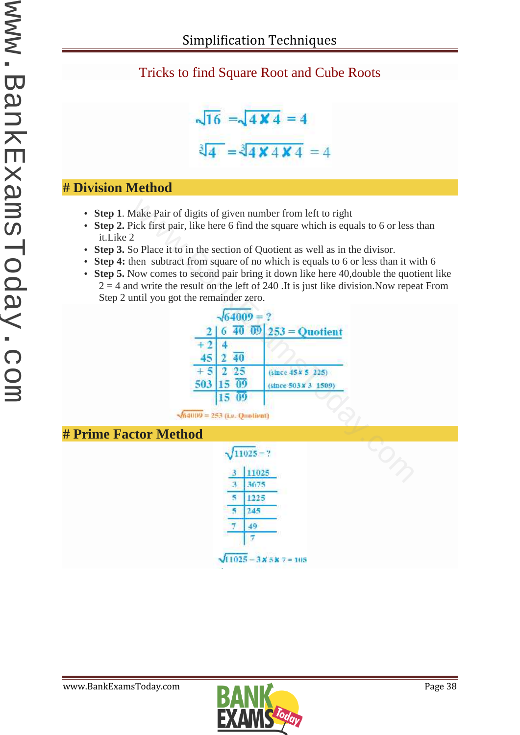# Tricks to find Square Root and Cube Roots



# **# Division Method**

- **Step 1**. Make Pair of digits of given number from left to right
- **Step 2.** Pick first pair, like here 6 find the square which is equals to 6 or less than it.Like 2
- **Step 3.** So Place it to in the section of Quotient as well as in the divisor.
- **Step 4:** then subtract from square of no which is equals to 6 or less than it with 6
- **Step 5.** Now comes to second pair bring it down like here 40,double the quotient like  $2 = 4$  and write the result on the left of 240. It is just like division. Now repeat From Step 2 until you got the remainder zero.

| <b>Step 1.</b> Make Pair of digits of given number from left to right<br>it.Like 2<br>Step 2 until you got the remainder zero. |                                                             | Step 2. Pick first pair, like here 6 find the square which is equals to 6 or less than<br>Step 3. So Place it to in the section of Quotient as well as in the divisor.<br>Step 4: then subtract from square of no which is equals to 6 or less than it with 6<br>Step 5. Now comes to second pair bring it down like here 40, double the quotient like<br>$2 = 4$ and write the result on the left of 240. It is just like division. Now repeat From |
|--------------------------------------------------------------------------------------------------------------------------------|-------------------------------------------------------------|------------------------------------------------------------------------------------------------------------------------------------------------------------------------------------------------------------------------------------------------------------------------------------------------------------------------------------------------------------------------------------------------------------------------------------------------------|
|                                                                                                                                |                                                             |                                                                                                                                                                                                                                                                                                                                                                                                                                                      |
|                                                                                                                                | $64009 = ?$                                                 |                                                                                                                                                                                                                                                                                                                                                                                                                                                      |
|                                                                                                                                |                                                             | $\boxed{09}$ 253 = Quotient                                                                                                                                                                                                                                                                                                                                                                                                                          |
|                                                                                                                                |                                                             |                                                                                                                                                                                                                                                                                                                                                                                                                                                      |
| 45                                                                                                                             | 40                                                          |                                                                                                                                                                                                                                                                                                                                                                                                                                                      |
| $+5$                                                                                                                           | 25<br>$\Omega$                                              |                                                                                                                                                                                                                                                                                                                                                                                                                                                      |
|                                                                                                                                |                                                             | (since 45 x 5 225)                                                                                                                                                                                                                                                                                                                                                                                                                                   |
|                                                                                                                                | 503 15 09                                                   | (since 503 x 3 1509)                                                                                                                                                                                                                                                                                                                                                                                                                                 |
|                                                                                                                                | 15 09                                                       |                                                                                                                                                                                                                                                                                                                                                                                                                                                      |
|                                                                                                                                | $\sqrt{64009}$ = 253 (i.e. Quotient)                        |                                                                                                                                                                                                                                                                                                                                                                                                                                                      |
| <b># Prime Factor Method</b>                                                                                                   |                                                             |                                                                                                                                                                                                                                                                                                                                                                                                                                                      |
|                                                                                                                                | $11025 - ?$<br>11025<br>3675<br>3<br>٩<br>1225<br>245<br>49 |                                                                                                                                                                                                                                                                                                                                                                                                                                                      |
|                                                                                                                                |                                                             | $1025 - 3 \times 5 \times 7 = 105$                                                                                                                                                                                                                                                                                                                                                                                                                   |
|                                                                                                                                |                                                             |                                                                                                                                                                                                                                                                                                                                                                                                                                                      |

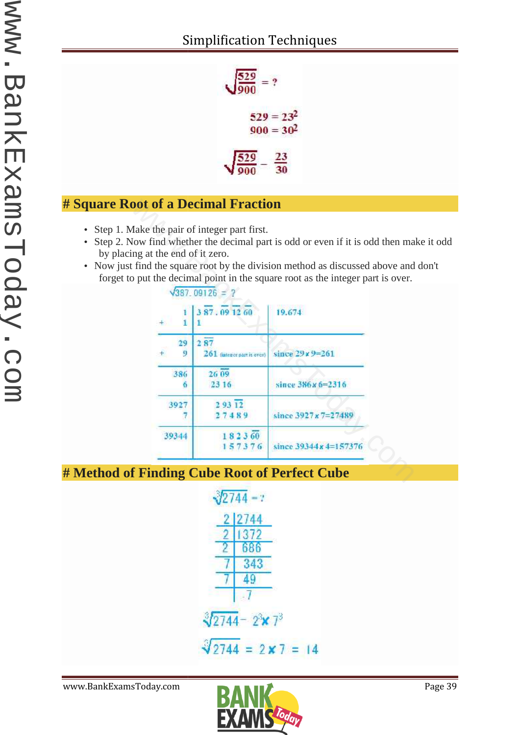# **# Square Root of a Decimal Fraction**

- Step 1. Make the pair of integer part first.
- Step 2. Now find whether the decimal part is odd or even if it is odd then make it odd by placing at the end of it zero.
- Now just find the square root by the division method as discussed above and don't forget to put the decimal point in the square root as the integer part is over.

|                                                |           | Simplification Techniques                |                                                                                                                                                                                                                                                     |
|------------------------------------------------|-----------|------------------------------------------|-----------------------------------------------------------------------------------------------------------------------------------------------------------------------------------------------------------------------------------------------------|
|                                                |           |                                          |                                                                                                                                                                                                                                                     |
|                                                |           |                                          | $529 = 23^2$<br>$900 = 30^{2}$                                                                                                                                                                                                                      |
|                                                |           | $\sqrt{\frac{529}{900}} - \frac{23}{30}$ |                                                                                                                                                                                                                                                     |
| <b># Square Root of a Decimal Fraction</b>     |           |                                          |                                                                                                                                                                                                                                                     |
| • Step 1. Make the pair of integer part first. |           |                                          |                                                                                                                                                                                                                                                     |
| by placing at the end of it zero.              |           | $\sqrt{387.09126} = ?$                   | • Step 2. Now find whether the decimal part is odd or even if it is odd then ma<br>• Now just find the square root by the division method as discussed above and<br>forget to put the decimal point in the square root as the integer part is over. |
|                                                |           | 387.09 12 60                             | 19.674                                                                                                                                                                                                                                              |
|                                                | 29<br>9   | 287<br>$261$ (lateger part is over)      | since $29 \times 9 = 261$                                                                                                                                                                                                                           |
|                                                | 386<br>6  | 2609<br>23 16                            | since 386 x 6=2316                                                                                                                                                                                                                                  |
|                                                | 3927<br>7 | 29312<br>27489                           | since 3927 x 7=27489                                                                                                                                                                                                                                |

# **# Method of Finding Cube Root of Perfect Cube**

$$
\sqrt[3]{2744} = ?
$$
\n
$$
\frac{2|2744|}{2|1372|}
$$
\n
$$
\frac{2|686|}{7|343|}
$$
\n
$$
\frac{7|49|}{7|7|}
$$
\n
$$
\sqrt[3]{2744} = 2 \times 7 = 14
$$

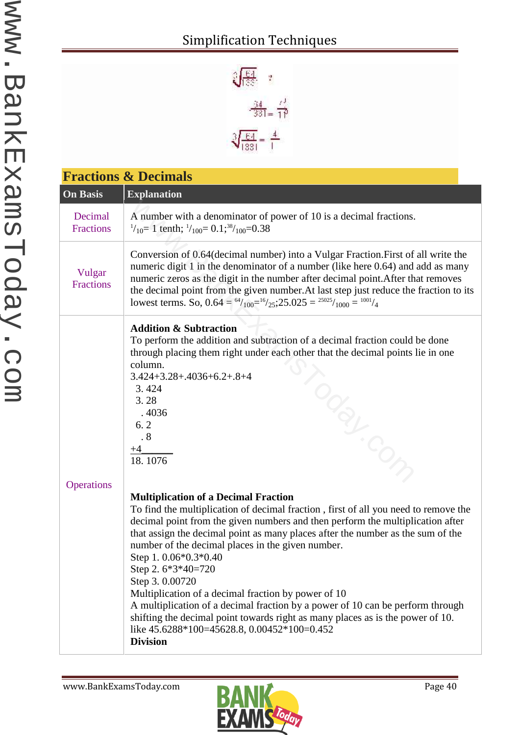

| <b>Fractions &amp; Decimals</b> |                                                                                                                                                                                                                                                                                                                                                                                                                                                                                                                                                                                                                                                                                                                                                                                                                                                                                                                                                                                                                                              |  |
|---------------------------------|----------------------------------------------------------------------------------------------------------------------------------------------------------------------------------------------------------------------------------------------------------------------------------------------------------------------------------------------------------------------------------------------------------------------------------------------------------------------------------------------------------------------------------------------------------------------------------------------------------------------------------------------------------------------------------------------------------------------------------------------------------------------------------------------------------------------------------------------------------------------------------------------------------------------------------------------------------------------------------------------------------------------------------------------|--|
| <b>On Basis</b>                 | <b>Explanation</b>                                                                                                                                                                                                                                                                                                                                                                                                                                                                                                                                                                                                                                                                                                                                                                                                                                                                                                                                                                                                                           |  |
| Decimal<br><b>Fractions</b>     | A number with a denominator of power of 10 is a decimal fractions.<br>$\frac{1}{10}$ = 1 tenth; $\frac{1}{100}$ = 0.1; <sup>38</sup> / <sub>100</sub> = 0.38                                                                                                                                                                                                                                                                                                                                                                                                                                                                                                                                                                                                                                                                                                                                                                                                                                                                                 |  |
| Vulgar<br><b>Fractions</b>      | Conversion of 0.64 (decimal number) into a Vulgar Fraction. First of all write the<br>numeric digit 1 in the denominator of a number (like here 0.64) and add as many<br>numeric zeros as the digit in the number after decimal point. After that removes<br>the decimal point from the given number. At last step just reduce the fraction to its<br>lowest terms. So, $0.64 = \frac{64}{100} = \frac{16}{25} = \frac{25.025}{1000} = \frac{1001}{4}$                                                                                                                                                                                                                                                                                                                                                                                                                                                                                                                                                                                       |  |
| <b>Operations</b>               | <b>Addition &amp; Subtraction</b><br>To perform the addition and subtraction of a decimal fraction could be done<br>through placing them right under each other that the decimal points lie in one<br>column.<br>$3.424 + 3.28 + .4036 + 6.2 + .8 + 4$<br>3.424<br>3.28<br>.4036<br>6.2<br>.8<br>$+4$<br>18.1076<br><b>Multiplication of a Decimal Fraction</b><br>To find the multiplication of decimal fraction, first of all you need to remove the<br>decimal point from the given numbers and then perform the multiplication after<br>that assign the decimal point as many places after the number as the sum of the<br>number of the decimal places in the given number.<br>Step 1.0.06*0.3*0.40<br>Step 2.6*3*40=720<br>Step 3.0.00720<br>Multiplication of a decimal fraction by power of 10<br>A multiplication of a decimal fraction by a power of 10 can be perform through<br>shifting the decimal point towards right as many places as is the power of 10.<br>like 45.6288*100=45628.8, 0.00452*100=0.452<br><b>Division</b> |  |

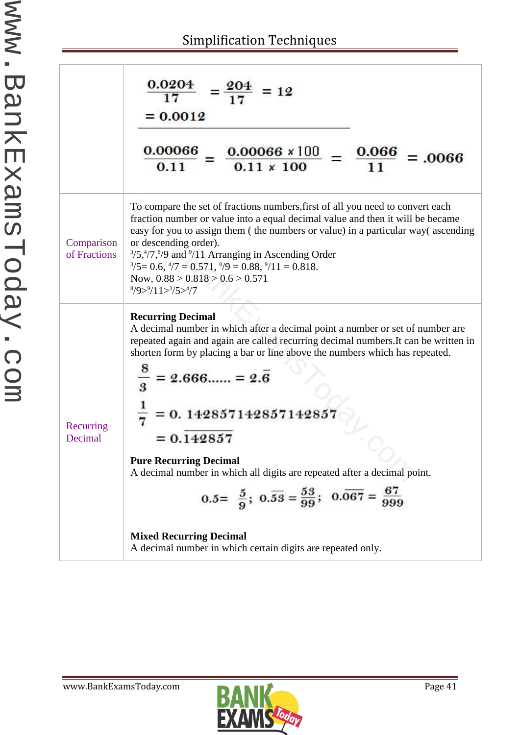|                            | $= 0.0012$<br>0.00066<br>$0.00066 \times 100$<br>0.066<br>0066<br>$0.11 \times 100$<br>0.11                                                                                                                                                                                                                                                                                                                                                                                                                                                                                                                                                         |  |  |  |  |
|----------------------------|-----------------------------------------------------------------------------------------------------------------------------------------------------------------------------------------------------------------------------------------------------------------------------------------------------------------------------------------------------------------------------------------------------------------------------------------------------------------------------------------------------------------------------------------------------------------------------------------------------------------------------------------------------|--|--|--|--|
| Comparison<br>of Fractions | To compare the set of fractions numbers, first of all you need to convert each<br>fraction number or value into a equal decimal value and then it will be became<br>easy for you to assign them (the numbers or value) in a particular way (ascending<br>or descending order).<br>$3/5$ , $4/7$ , $8/9$ and $9/11$ Arranging in Ascending Order<br>$\frac{3}{5} = 0.6$ , $\frac{4}{7} = 0.571$ , $\frac{8}{9} = 0.88$ , $\frac{9}{11} = 0.818$ .<br>Now, $0.88 > 0.818 > 0.6 > 0.571$<br>$8/9$ > $9/11$ > $3/5$ > $4/7$                                                                                                                             |  |  |  |  |
| Recurring<br>Decimal       | <b>Recurring Decimal</b><br>A decimal number in which after a decimal point a number or set of number are<br>repeated again and again are called recurring decimal numbers. It can be written in<br>shorten form by placing a bar or line above the numbers which has repeated.<br>$2.666 = 2.6$<br>0.142857142857142857<br>0.142857<br><b>Pure Recurring Decimal</b><br>A decimal number in which all digits are repeated after a decimal point.<br>$0.5 = \frac{5}{9}$ ; $0.\overline{53} = \frac{53}{99}$ ; $0.\overline{067} = \frac{67}{999}$<br><b>Mixed Recurring Decimal</b><br>A decimal number in which certain digits are repeated only. |  |  |  |  |

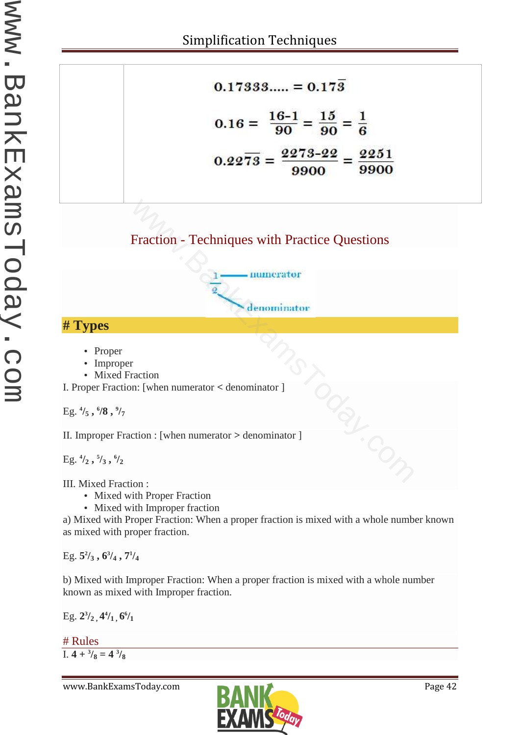$0.17333... = 0.17\overline{3}$  $0.16 = \frac{16-1}{90} = \frac{15}{90} = \frac{1}{6}$  $0.22\overline{73} = \frac{2273-22}{9900} = \frac{2251}{9900}$ 

# Fraction - Techniques with Practice Questions Fraction - Techniques with Practice Questions<br>  $\frac{1}{2}$  numerator<br>
denominator<br>  $\frac{1}{2}$ <br>
denominator<br>
m: [when numerator < denominator ]

# **# Types**

- Proper
- Improper
- Mixed Fraction

I. Proper Fraction: [when numerator **<** denominator ]

Eg. **<sup>4</sup>/<sup>5</sup> , <sup>6</sup>/8 , <sup>9</sup>/<sup>7</sup>**

II. Improper Fraction : [when numerator **>** denominator ]

Eg. **<sup>4</sup>/<sup>2</sup> , <sup>5</sup>/<sup>3</sup> , <sup>6</sup>/<sup>2</sup>**

III. Mixed Fraction :

- Mixed with Proper Fraction
- Mixed with Improper fraction

a) Mixed with Proper Fraction: When a proper fraction is mixed with a whole number known as mixed with proper fraction.

Eg. **5 <sup>2</sup>/<sup>3</sup> , 6<sup>3</sup>/<sup>4</sup> , 7<sup>1</sup>/<sup>4</sup>**

b) Mixed with Improper Fraction: When a proper fraction is mixed with a whole number known as mixed with Improper fraction.

Eg. **2 <sup>3</sup>/2 , 4 <sup>4</sup>/1 , 6 <sup>6</sup>/<sup>1</sup>**

# Rules

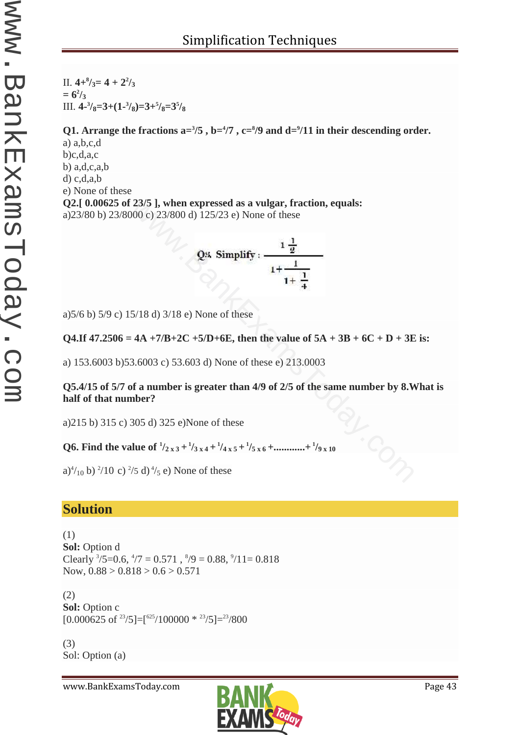$II. 4 + \frac{8}{3} = 4 + \frac{2^2}{3}$  $= 6^2$ /<sub>3</sub> III. **4- <sup>3</sup>/8=3+(1- <sup>3</sup>/8)=3+<sup>5</sup>/8=3<sup>5</sup>/<sup>8</sup>**

Q1. Arrange the fractions  $a=3/5$ ,  $b=4/7$ ,  $c=8/9$  and  $d=9/11$  in their descending order. a) a,b,c,d b)c,d,a,c  $b)$  a,d,c,a,b  $d)$  c,d,a,b e) None of these **Q2.[ 0.00625 of 23/5 ], when expressed as a vulgar, fraction, equals:** a)23/80 b) 23/8000 c) 23/800 d) 125/23 e) None of these

Qs. Simplify: 
$$
\frac{1\frac{1}{2}}{1+\frac{1}{1+\frac{1}{4}}}
$$

a)5/6 b) 5/9 c) 15/18 d) 3/18 e) None of these

**Q4.If 47.2506 = 4A +7/B+2C +5/D+6E, then the value of 5A + 3B + 6C + D + 3E is:**

a) 153.6003 b)53.6003 c) 53.603 d) None of these e) 213.0003

**Q5.4/15 of 5/7 of a number is greater than 4/9 of 2/5 of the same number by 8.What is half of that number?** 23/5 ], when expressed as a vulgar, fraction, equals:<br>
000 c) 23/800 d) 125/23 e) None of these<br>
28. Simplify :  $\frac{1\frac{1}{2}}{1+\frac{1}{\frac{1}{4}}}$ <br>
5/18 d) 3/18 e) None of these<br>
4A +7/B+2C +5/D+6E, then the value of 5A + 3B + 6

a)215 b) 315 c) 305 d) 325 e)None of these

**Q6. Find the value of**  $\frac{1}{2}$  x 3 +  $\frac{1}{3}$  x 4 +  $\frac{1}{4}$  x 5 +  $\frac{1}{5}$  x 6 + ..............+  $\frac{1}{9}$  x 10

a)<sup>4</sup>/<sub>10</sub> b) <sup>2</sup>/10 c) <sup>2</sup>/5 d)<sup>4</sup>/<sub>5</sub> e) None of these

# **Solution**

(1) **Sol:** Option d Clearly  $\frac{3}{5}=0.6$ ,  $\frac{4}{7}=0.571$ ,  $\frac{8}{9}=0.88$ ,  $\frac{9}{11}=0.818$ Now,  $0.88 > 0.818 > 0.6 > 0.571$ 

(2) **Sol:** Option c  $[0.000625 \text{ of }^{23}/5] = [625/100000 * 23/5] = ^{23}/800$ 

(3) Sol: Option (a)

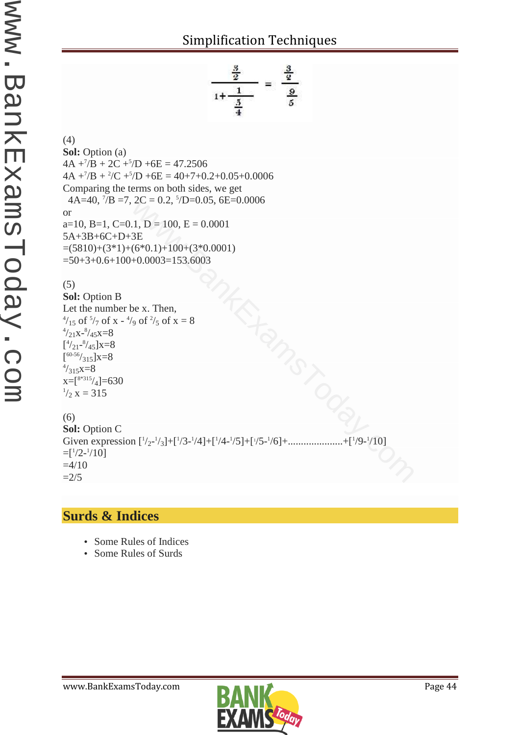$$
\frac{\frac{3}{2}}{1+\frac{1}{\frac{5}{4}}} = \frac{\frac{3}{2}}{\frac{9}{5}}
$$

#### (4)

**Sol:** Option (a)  $4A + 7/B + 2C + 5/D + 6E = 47.2506$  $4A + \frac{7}{B} + \frac{2}{C} + \frac{5}{D} + 6E = 40 + 7 + 0.2 + 0.05 + 0.0006$ Comparing the terms on both sides, we get 4A=40,  ${}^{7}/B = 7$ , 2C = 0.2,  ${}^{5}/D=0.05$ , 6E=0.0006 or a=10, B=1, C=0.1, D = 100, E = 0.0001 5A+3B+6C+D+3E  $=(5810)+(3*1)+(6*0.1)+100+(3*0.0001)$ =50+3+0.6+100+0.0003=153.6003

#### (5)

**Sol:** Option B Let the number be x. Then,  $^{4}/_{15}$  of  $^{5}/_{7}$  of x -  $^{4}/_{9}$  of  $^{2}/_{5}$  of x = 8  $\frac{4}{21}x - \frac{8}{45}x = 8$  $\binom{4}{21}$ - $\binom{8}{45}$  x=8  $\binom{60-56}{315}x=8$  $\frac{4}{315}x=8$  $x=[8*315/4]=630$  $\frac{1}{2}$  x = 315

#### (6)

**Sol:** Option C Given expression [<sup>1</sup>/2- <sup>1</sup>/3]+[<sup>1</sup>/3- <sup>1</sup>/4]+[<sup>1</sup>/4- <sup>1</sup>/5]+[1/5- <sup>1</sup>/6]+.....................+[<sup>1</sup>/9- <sup>1</sup>/10]  $=[^{1}/2^{-1}/10]$  $=4/10$  $=2/5$ 

# **Surds & Indices**

- Some Rules of Indices
- Some Rules of Surds